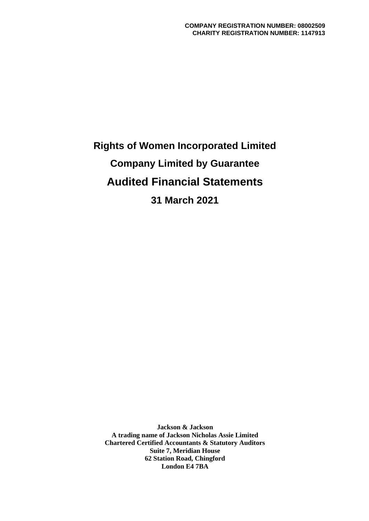# **Rights of Women Incorporated Limited Company Limited by Guarantee Audited Financial Statements 31 March 2021**

**Jackson & Jackson A trading name of Jackson Nicholas Assie Limited Chartered Certified Accountants & Statutory Auditors Suite 7, Meridian House 62 Station Road, Chingford London E4 7BA**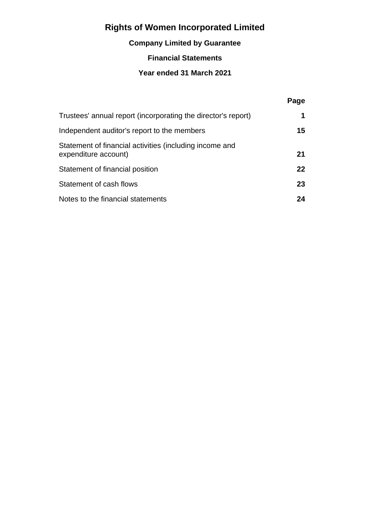# **Company Limited by Guarantee**

# **Financial Statements**

# **Year ended 31 March 2021**

|                                                                                 | Page |
|---------------------------------------------------------------------------------|------|
| Trustees' annual report (incorporating the director's report)                   | 1    |
| Independent auditor's report to the members                                     | 15   |
| Statement of financial activities (including income and<br>expenditure account) | 21   |
| Statement of financial position                                                 | 22   |
| Statement of cash flows                                                         | 23   |
| Notes to the financial statements                                               | 24   |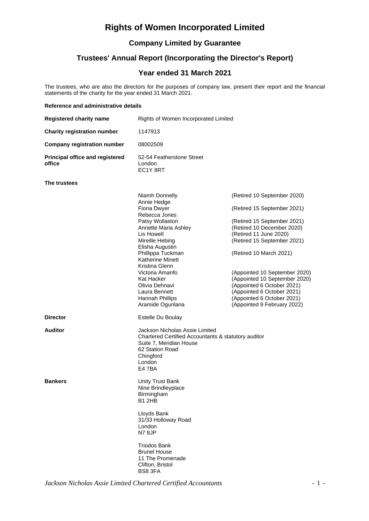# **Company Limited by Guarantee**

# **Trustees' Annual Report (Incorporating the Director's Report)**

# **Year ended 31 March 2021**

The trustees, who are also the directors for the purposes of company law, present their report and the financial statements of the charity for the year ended 31 March 2021.

### **Reference and administrative details**

| <b>Registered charity name</b>                   | Rights of Women Incorporated Limited                                                                                                                                                                                                                                                               |                                                                                                                                                                                                                                                                                                                                           |
|--------------------------------------------------|----------------------------------------------------------------------------------------------------------------------------------------------------------------------------------------------------------------------------------------------------------------------------------------------------|-------------------------------------------------------------------------------------------------------------------------------------------------------------------------------------------------------------------------------------------------------------------------------------------------------------------------------------------|
| <b>Charity registration number</b>               | 1147913                                                                                                                                                                                                                                                                                            |                                                                                                                                                                                                                                                                                                                                           |
| <b>Company registration number</b>               | 08002509                                                                                                                                                                                                                                                                                           |                                                                                                                                                                                                                                                                                                                                           |
| <b>Principal office and registered</b><br>office | 52-54 Featherstone Street<br>London<br>EC1Y 8RT                                                                                                                                                                                                                                                    |                                                                                                                                                                                                                                                                                                                                           |
| The trustees                                     |                                                                                                                                                                                                                                                                                                    |                                                                                                                                                                                                                                                                                                                                           |
|                                                  | Niamh Donnelly<br>Annie Hedge<br>Fiona Dwyer<br>Rebecca Jones<br>Patsy Wollaston<br>Annette Maria Ashley<br>Lis Howell<br>Mireille Hebing<br>Elisha Augustin<br>Phillippa Tuckman<br><b>Katherine Minett</b><br>Kristina Glenn<br>Victoria Amanfo<br>Kat Hacker<br>Olivia Dehnavi<br>Laura Bennett | (Retired 10 September 2020)<br>(Retired 15 September 2021)<br>(Retired 15 September 2021)<br>(Retired 10 December 2020)<br>(Retired 11 June 2020)<br>(Retired 15 September 2021)<br>(Retired 10 March 2021)<br>(Appointed 10 September 2020)<br>(Appointed 10 September 2020)<br>(Appointed 6 October 2021)<br>(Appointed 6 October 2021) |
|                                                  | Hannah Phillips<br>Aramide Ogunlana                                                                                                                                                                                                                                                                | (Appointed 6 October 2021)<br>(Appointed 9 February 2022)                                                                                                                                                                                                                                                                                 |
| <b>Director</b>                                  | Estelle Du Boulay                                                                                                                                                                                                                                                                                  |                                                                                                                                                                                                                                                                                                                                           |
| Auditor                                          | Jackson Nicholas Assie Limited<br>Chartered Certified Accountants & statutory auditor<br>Suite 7, Meridian House<br>62 Station Road<br>Chingford<br>London<br><b>E47BA</b>                                                                                                                         |                                                                                                                                                                                                                                                                                                                                           |
| Bankers                                          | Unity Trust Bank<br>Nine Brindleyplace<br>Birmingham<br><b>B1 2HB</b>                                                                                                                                                                                                                              |                                                                                                                                                                                                                                                                                                                                           |
|                                                  | Lloyds Bank<br>31/33 Holloway Road<br>London<br><b>N7 8JP</b>                                                                                                                                                                                                                                      |                                                                                                                                                                                                                                                                                                                                           |
|                                                  | <b>Triodos Bank</b><br><b>Brunel House</b><br>11 The Promenade<br>Clifton, Bristol                                                                                                                                                                                                                 |                                                                                                                                                                                                                                                                                                                                           |

*Jackson Nicholas Assie Limited Chartered Certified Accountants* - 1 -

BS8 3FA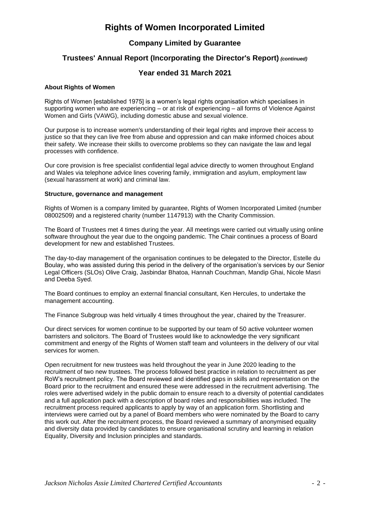# **Company Limited by Guarantee**

# **Trustees' Annual Report (Incorporating the Director's Report)** *(continued)*

## **Year ended 31 March 2021**

### **About Rights of Women**

Rights of Women [established 1975] is a women's legal rights organisation which specialises in supporting women who are experiencing – or at risk of experiencing – all forms of Violence Against Women and Girls (VAWG), including domestic abuse and sexual violence.

Our purpose is to increase women's understanding of their legal rights and improve their access to justice so that they can live free from abuse and oppression and can make informed choices about their safety. We increase their skills to overcome problems so they can navigate the law and legal processes with confidence.

Our core provision is free specialist confidential legal advice directly to women throughout England and Wales via telephone advice lines covering family, immigration and asylum, employment law (sexual harassment at work) and criminal law.

### **Structure, governance and management**

Rights of Women is a company limited by guarantee, Rights of Women Incorporated Limited (number 08002509) and a registered charity (number 1147913) with the Charity Commission.

The Board of Trustees met 4 times during the year. All meetings were carried out virtually using online software throughout the year due to the ongoing pandemic. The Chair continues a process of Board development for new and established Trustees.

The day-to-day management of the organisation continues to be delegated to the Director, Estelle du Boulay, who was assisted during this period in the delivery of the organisation's services by our Senior Legal Officers (SLOs) Olive Craig, Jasbindar Bhatoa, Hannah Couchman, Mandip Ghai, Nicole Masri and Deeba Syed.

The Board continues to employ an external financial consultant, Ken Hercules, to undertake the management accounting.

The Finance Subgroup was held virtually 4 times throughout the year, chaired by the Treasurer.

Our direct services for women continue to be supported by our team of 50 active volunteer women barristers and solicitors. The Board of Trustees would like to acknowledge the very significant commitment and energy of the Rights of Women staff team and volunteers in the delivery of our vital services for women.

Open recruitment for new trustees was held throughout the year in June 2020 leading to the recruitment of two new trustees. The process followed best practice in relation to recruitment as per RoW's recruitment policy. The Board reviewed and identified gaps in skills and representation on the Board prior to the recruitment and ensured these were addressed in the recruitment advertising. The roles were advertised widely in the public domain to ensure reach to a diversity of potential candidates and a full application pack with a description of board roles and responsibilities was included. The recruitment process required applicants to apply by way of an application form. Shortlisting and interviews were carried out by a panel of Board members who were nominated by the Board to carry this work out. After the recruitment process, the Board reviewed a summary of anonymised equality and diversity data provided by candidates to ensure organisational scrutiny and learning in relation Equality, Diversity and Inclusion principles and standards.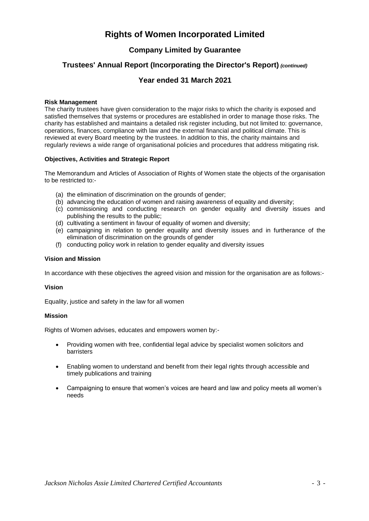# **Company Limited by Guarantee**

# **Trustees' Annual Report (Incorporating the Director's Report)** *(continued)*

## **Year ended 31 March 2021**

### **Risk Management**

The charity trustees have given consideration to the major risks to which the charity is exposed and satisfied themselves that systems or procedures are established in order to manage those risks. The charity has established and maintains a detailed risk register including, but not limited to: governance, operations, finances, compliance with law and the external financial and political climate. This is reviewed at every Board meeting by the trustees. In addition to this, the charity maintains and regularly reviews a wide range of organisational policies and procedures that address mitigating risk.

### **Objectives, Activities and Strategic Report**

The Memorandum and Articles of Association of Rights of Women state the objects of the organisation to be restricted to:-

- (a) the elimination of discrimination on the grounds of gender;
- (b) advancing the education of women and raising awareness of equality and diversity;
- (c) commissioning and conducting research on gender equality and diversity issues and publishing the results to the public;
- (d) cultivating a sentiment in favour of equality of women and diversity;
- (e) campaigning in relation to gender equality and diversity issues and in furtherance of the elimination of discrimination on the grounds of gender
- (f) conducting policy work in relation to gender equality and diversity issues

### **Vision and Mission**

In accordance with these objectives the agreed vision and mission for the organisation are as follows:-

### **Vision**

Equality, justice and safety in the law for all women

### **Mission**

Rights of Women advises, educates and empowers women by:-

- Providing women with free, confidential legal advice by specialist women solicitors and barristers
- Enabling women to understand and benefit from their legal rights through accessible and timely publications and training
- Campaigning to ensure that women's voices are heard and law and policy meets all women's needs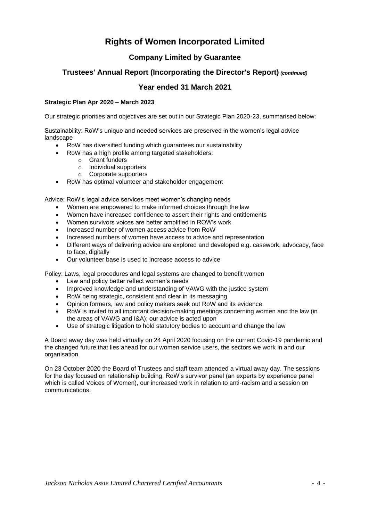# **Company Limited by Guarantee**

# **Trustees' Annual Report (Incorporating the Director's Report)** *(continued)*

# **Year ended 31 March 2021**

### **Strategic Plan Apr 2020 – March 2023**

Our strategic priorities and objectives are set out in our Strategic Plan 2020-23, summarised below:

Sustainability: RoW's unique and needed services are preserved in the women's legal advice landscape

- RoW has diversified funding which guarantees our sustainability
	- RoW has a high profile among targeted stakeholders:
		- o Grant funders
		- o Individual supporters
		- o Corporate supporters
- RoW has optimal volunteer and stakeholder engagement

Advice: RoW's legal advice services meet women's changing needs

- Women are empowered to make informed choices through the law
- Women have increased confidence to assert their rights and entitlements
- Women survivors voices are better amplified in ROW's work
- Increased number of women access advice from RoW
- Increased numbers of women have access to advice and representation
- Different ways of delivering advice are explored and developed e.g. casework, advocacy, face to face, digitally
- Our volunteer base is used to increase access to advice

Policy: Laws, legal procedures and legal systems are changed to benefit women

- Law and policy better reflect women's needs
- Improved knowledge and understanding of VAWG with the justice system
- RoW being strategic, consistent and clear in its messaging
- Opinion formers, law and policy makers seek out RoW and its evidence
- RoW is invited to all important decision-making meetings concerning women and the law (in the areas of VAWG and I&A); our advice is acted upon
- Use of strategic litigation to hold statutory bodies to account and change the law

A Board away day was held virtually on 24 April 2020 focusing on the current Covid-19 pandemic and the changed future that lies ahead for our women service users, the sectors we work in and our organisation.

On 23 October 2020 the Board of Trustees and staff team attended a virtual away day. The sessions for the day focused on relationship building, RoW's survivor panel (an experts by experience panel which is called Voices of Women), our increased work in relation to anti-racism and a session on communications.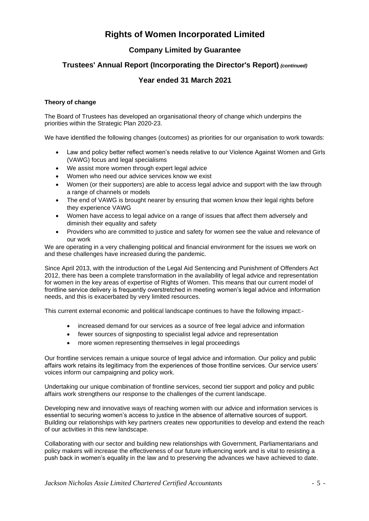# **Company Limited by Guarantee**

# **Trustees' Annual Report (Incorporating the Director's Report)** *(continued)*

# **Year ended 31 March 2021**

### **Theory of change**

The Board of Trustees has developed an organisational theory of change which underpins the priorities within the Strategic Plan 2020-23.

We have identified the following changes (outcomes) as priorities for our organisation to work towards:

- Law and policy better reflect women's needs relative to our Violence Against Women and Girls (VAWG) focus and legal specialisms
- We assist more women through expert legal advice
- Women who need our advice services know we exist
- Women (or their supporters) are able to access legal advice and support with the law through a range of channels or models
- The end of VAWG is brought nearer by ensuring that women know their legal rights before they experience VAWG
- Women have access to legal advice on a range of issues that affect them adversely and diminish their equality and safety
- Providers who are committed to justice and safety for women see the value and relevance of our work

We are operating in a very challenging political and financial environment for the issues we work on and these challenges have increased during the pandemic.

Since April 2013, with the introduction of the Legal Aid Sentencing and Punishment of Offenders Act 2012, there has been a complete transformation in the availability of legal advice and representation for women in the key areas of expertise of Rights of Women. This means that our current model of frontline service delivery is frequently overstretched in meeting women's legal advice and information needs, and this is exacerbated by very limited resources.

This current external economic and political landscape continues to have the following impact:-

- increased demand for our services as a source of free legal advice and information
- fewer sources of signposting to specialist legal advice and representation
- more women representing themselves in legal proceedings

Our frontline services remain a unique source of legal advice and information. Our policy and public affairs work retains its legitimacy from the experiences of those frontline services. Our service users' voices inform our campaigning and policy work.

Undertaking our unique combination of frontline services, second tier support and policy and public affairs work strengthens our response to the challenges of the current landscape.

Developing new and innovative ways of reaching women with our advice and information services is essential to securing women's access to justice in the absence of alternative sources of support. Building our relationships with key partners creates new opportunities to develop and extend the reach of our activities in this new landscape.

Collaborating with our sector and building new relationships with Government, Parliamentarians and policy makers will increase the effectiveness of our future influencing work and is vital to resisting a push back in women's equality in the law and to preserving the advances we have achieved to date.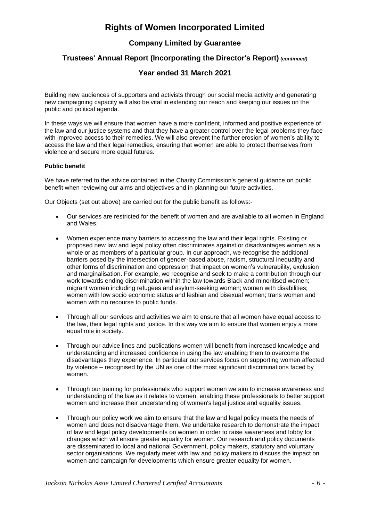# **Company Limited by Guarantee**

# **Trustees' Annual Report (Incorporating the Director's Report)** *(continued)*

# **Year ended 31 March 2021**

Building new audiences of supporters and activists through our social media activity and generating new campaigning capacity will also be vital in extending our reach and keeping our issues on the public and political agenda.

In these ways we will ensure that women have a more confident, informed and positive experience of the law and our justice systems and that they have a greater control over the legal problems they face with improved access to their remedies. We will also prevent the further erosion of women's ability to access the law and their legal remedies, ensuring that women are able to protect themselves from violence and secure more equal futures.

### **Public benefit**

We have referred to the advice contained in the Charity Commission's general guidance on public benefit when reviewing our aims and objectives and in planning our future activities.

Our Objects (set out above) are carried out for the public benefit as follows:-

- Our services are restricted for the benefit of women and are available to all women in England and Wales.
- Women experience many barriers to accessing the law and their legal rights. Existing or proposed new law and legal policy often discriminates against or disadvantages women as a whole or as members of a particular group. In our approach, we recognise the additional barriers posed by the intersection of gender-based abuse, racism, structural inequality and other forms of discrimination and oppression that impact on women's vulnerability, exclusion and marginalisation. For example, we recognise and seek to make a contribution through our work towards ending discrimination within the law towards Black and minoritised women; migrant women including refugees and asylum-seeking women; women with disabilities; women with low socio economic status and lesbian and bisexual women; trans women and women with no recourse to public funds.
- Through all our services and activities we aim to ensure that all women have equal access to the law, their legal rights and justice. In this way we aim to ensure that women enjoy a more equal role in society.
- Through our advice lines and publications women will benefit from increased knowledge and understanding and increased confidence in using the law enabling them to overcome the disadvantages they experience. In particular our services focus on supporting women affected by violence – recognised by the UN as one of the most significant discriminations faced by women.
- Through our training for professionals who support women we aim to increase awareness and understanding of the law as it relates to women, enabling these professionals to better support women and increase their understanding of women's legal justice and equality issues.
- Through our policy work we aim to ensure that the law and legal policy meets the needs of women and does not disadvantage them. We undertake research to demonstrate the impact of law and legal policy developments on women in order to raise awareness and lobby for changes which will ensure greater equality for women. Our research and policy documents are disseminated to local and national Government, policy makers, statutory and voluntary sector organisations. We regularly meet with law and policy makers to discuss the impact on women and campaign for developments which ensure greater equality for women.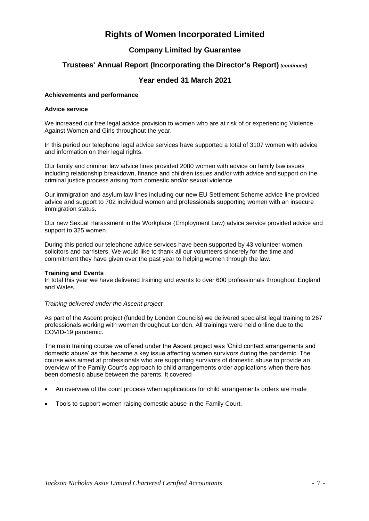# **Company Limited by Guarantee**

# **Trustees' Annual Report (Incorporating the Director's Report)** *(continued)*

## **Year ended 31 March 2021**

### **Achievements and performance**

### **Advice service**

We increased our free legal advice provision to women who are at risk of or experiencing Violence Against Women and Girls throughout the year.

In this period our telephone legal advice services have supported a total of 3107 women with advice and information on their legal rights.

Our family and criminal law advice lines provided 2080 women with advice on family law issues including relationship breakdown, finance and children issues and/or with advice and support on the criminal justice process arising from domestic and/or sexual violence.

Our immigration and asylum law lines including our new EU Settlement Scheme advice line provided advice and support to 702 individual women and professionals supporting women with an insecure immigration status.

Our new Sexual Harassment in the Workplace (Employment Law) advice service provided advice and support to 325 women.

During this period our telephone advice services have been supported by 43 volunteer women solicitors and barristers. We would like to thank all our volunteers sincerely for the time and commitment they have given over the past year to helping women through the law.

### **Training and Events**

In total this year we have delivered training and events to over 600 professionals throughout England and Wales.

### *Training delivered under the Ascent project*

As part of the Ascent project (funded by London Councils) we delivered specialist legal training to 267 professionals working with women throughout London. All trainings were held online due to the COVID-19 pandemic.

The main training course we offered under the Ascent project was 'Child contact arrangements and domestic abuse' as this became a key issue affecting women survivors during the pandemic. The course was aimed at professionals who are supporting survivors of domestic abuse to provide an overview of the Family Court's approach to child arrangements order applications when there has been domestic abuse between the parents. It covered

- An overview of the court process when applications for child arrangements orders are made
- Tools to support women raising domestic abuse in the Family Court.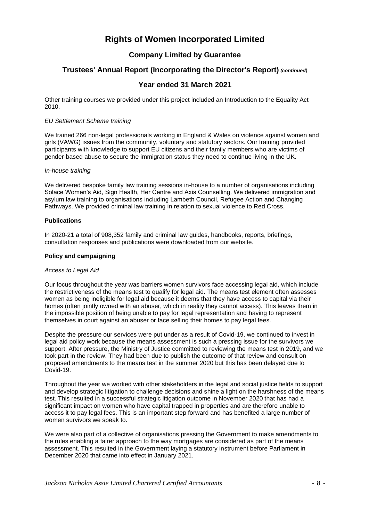# **Company Limited by Guarantee**

# **Trustees' Annual Report (Incorporating the Director's Report)** *(continued)*

# **Year ended 31 March 2021**

Other training courses we provided under this project included an Introduction to the Equality Act 2010.

### *EU Settlement Scheme training*

We trained 266 non-legal professionals working in England & Wales on violence against women and girls (VAWG) issues from the community, voluntary and statutory sectors. Our training provided participants with knowledge to support EU citizens and their family members who are victims of gender-based abuse to secure the immigration status they need to continue living in the UK.

### *In-house training*

We delivered bespoke family law training sessions in-house to a number of organisations including Solace Women's Aid, Sign Health, Her Centre and Axis Counselling. We delivered immigration and asylum law training to organisations including Lambeth Council, Refugee Action and Changing Pathways. We provided criminal law training in relation to sexual violence to Red Cross.

### **Publications**

In 2020-21 a total of 908,352 family and criminal law guides, handbooks, reports, briefings, consultation responses and publications were downloaded from our website.

### **Policy and campaigning**

### *Access to Legal Aid*

Our focus throughout the year was barriers women survivors face accessing legal aid, which include the restrictiveness of the means test to qualify for legal aid. The means test element often assesses women as being ineligible for legal aid because it deems that they have access to capital via their homes (often jointly owned with an abuser, which in reality they cannot access). This leaves them in the impossible position of being unable to pay for legal representation and having to represent themselves in court against an abuser or face selling their homes to pay legal fees.

Despite the pressure our services were put under as a result of Covid-19, we continued to invest in legal aid policy work because the means assessment is such a pressing issue for the survivors we support. After pressure, the Ministry of Justice committed to reviewing the means test in 2019, and we took part in the review. They had been due to publish the outcome of that review and consult on proposed amendments to the means test in the summer 2020 but this has been delayed due to Covid-19.

Throughout the year we worked with other stakeholders in the legal and social justice fields to support and develop strategic litigation to challenge decisions and shine a light on the harshness of the means test. This resulted in a successful strategic litigation outcome in November 2020 that has had a significant impact on women who have capital trapped in properties and are therefore unable to access it to pay legal fees. This is an important step forward and has benefited a large number of women survivors we speak to.

We were also part of a collective of organisations pressing the Government to make amendments to the rules enabling a fairer approach to the way mortgages are considered as part of the means assessment. This resulted in the Government laying a statutory instrument before Parliament in December 2020 that came into effect in January 2021.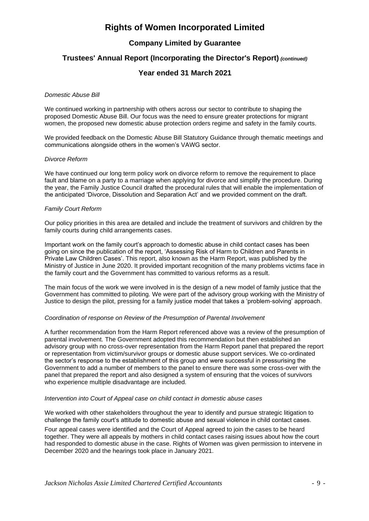# **Company Limited by Guarantee**

# **Trustees' Annual Report (Incorporating the Director's Report)** *(continued)*

## **Year ended 31 March 2021**

### *Domestic Abuse Bill*

We continued working in partnership with others across our sector to contribute to shaping the proposed Domestic Abuse Bill. Our focus was the need to ensure greater protections for migrant women, the proposed new domestic abuse protection orders regime and safety in the family courts.

We provided feedback on the Domestic Abuse Bill Statutory Guidance through thematic meetings and communications alongside others in the women's VAWG sector.

### *Divorce Reform*

We have continued our long term policy work on divorce reform to remove the requirement to place fault and blame on a party to a marriage when applying for divorce and simplify the procedure. During the year, the Family Justice Council drafted the procedural rules that will enable the implementation of the anticipated 'Divorce, Dissolution and Separation Act' and we provided comment on the draft.

### *Family Court Reform*

Our policy priorities in this area are detailed and include the treatment of survivors and children by the family courts during child arrangements cases.

Important work on the family court's approach to domestic abuse in child contact cases has been going on since the publication of the report, 'Assessing Risk of Harm to Children and Parents in Private Law Children Cases'. This report, also known as the Harm Report, was published by the Ministry of Justice in June 2020. It provided important recognition of the many problems victims face in the family court and the Government has committed to various reforms as a result.

The main focus of the work we were involved in is the design of a new model of family justice that the Government has committed to piloting. We were part of the advisory group working with the Ministry of Justice to design the pilot, pressing for a family justice model that takes a 'problem-solving' approach.

### *Coordination of response on Review of the Presumption of Parental Involvement*

A further recommendation from the Harm Report referenced above was a review of the presumption of parental involvement. The Government adopted this recommendation but then established an advisory group with no cross-over representation from the Harm Report panel that prepared the report or representation from victim/survivor groups or domestic abuse support services. We co-ordinated the sector's response to the establishment of this group and were successful in pressurising the Government to add a number of members to the panel to ensure there was some cross-over with the panel that prepared the report and also designed a system of ensuring that the voices of survivors who experience multiple disadvantage are included.

### *Intervention into Court of Appeal case on child contact in domestic abuse cases*

We worked with other stakeholders throughout the year to identify and pursue strategic litigation to challenge the family court's attitude to domestic abuse and sexual violence in child contact cases.

Four appeal cases were identified and the Court of Appeal agreed to join the cases to be heard together. They were all appeals by mothers in child contact cases raising issues about how the court had responded to domestic abuse in the case. Rights of Women was given permission to intervene in December 2020 and the hearings took place in January 2021.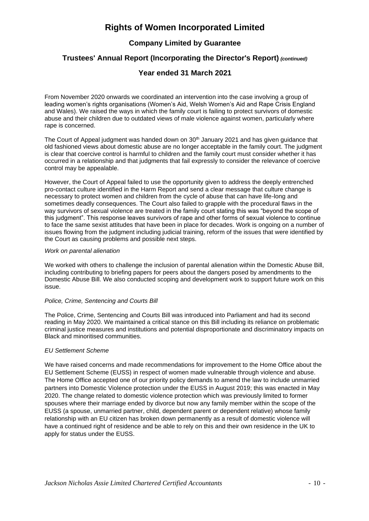# **Company Limited by Guarantee**

# **Trustees' Annual Report (Incorporating the Director's Report)** *(continued)*

# **Year ended 31 March 2021**

From November 2020 onwards we coordinated an intervention into the case involving a group of leading women's rights organisations (Women's Aid, Welsh Women's Aid and Rape Crisis England and Wales). We raised the ways in which the family court is failing to protect survivors of domestic abuse and their children due to outdated views of male violence against women, particularly where rape is concerned.

The Court of Appeal judgment was handed down on  $30<sup>th</sup>$  January 2021 and has given guidance that old fashioned views about domestic abuse are no longer acceptable in the family court. The judgment is clear that coercive control is harmful to children and the family court must consider whether it has occurred in a relationship and that judgments that fail expressly to consider the relevance of coercive control may be appealable.

However, the Court of Appeal failed to use the opportunity given to address the deeply entrenched pro-contact culture identified in the Harm Report and send a clear message that culture change is necessary to protect women and children from the cycle of abuse that can have life-long and sometimes deadly consequences. The Court also failed to grapple with the procedural flaws in the way survivors of sexual violence are treated in the family court stating this was "beyond the scope of this judgment". This response leaves survivors of rape and other forms of sexual violence to continue to face the same sexist attitudes that have been in place for decades. Work is ongoing on a number of issues flowing from the judgment including judicial training, reform of the issues that were identified by the Court as causing problems and possible next steps.

### *Work on parental alienation*

We worked with others to challenge the inclusion of parental alienation within the Domestic Abuse Bill, including contributing to briefing papers for peers about the dangers posed by amendments to the Domestic Abuse Bill. We also conducted scoping and development work to support future work on this issue.

### *Police, Crime, Sentencing and Courts Bill*

The Police, Crime, Sentencing and Courts Bill was introduced into Parliament and had its second reading in May 2020. We maintained a critical stance on this Bill including its reliance on problematic criminal justice measures and institutions and potential disproportionate and discriminatory impacts on Black and minoritised communities.

### *EU Settlement Scheme*

We have raised concerns and made recommendations for improvement to the Home Office about the EU Settlement Scheme (EUSS) in respect of women made vulnerable through violence and abuse. The Home Office accepted one of our priority policy demands to amend the law to include unmarried partners into Domestic Violence protection under the EUSS in August 2019; this was enacted in May 2020. The change related to domestic violence protection which was previously limited to former spouses where their marriage ended by divorce but now any family member within the scope of the EUSS (a spouse, unmarried partner, child, dependent parent or dependent relative) whose family relationship with an EU citizen has broken down permanently as a result of domestic violence will have a continued right of residence and be able to rely on this and their own residence in the UK to apply for status under the EUSS.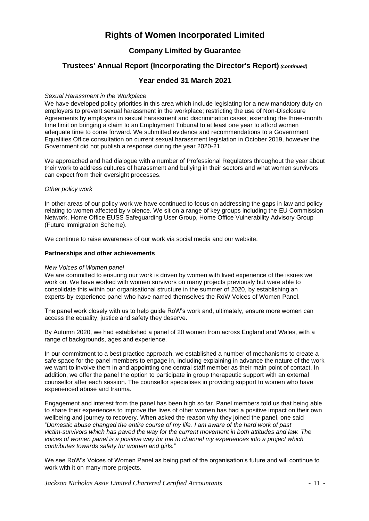# **Company Limited by Guarantee**

# **Trustees' Annual Report (Incorporating the Director's Report)** *(continued)*

# **Year ended 31 March 2021**

### *Sexual Harassment in the Workplace*

We have developed policy priorities in this area which include legislating for a new mandatory duty on employers to prevent sexual harassment in the workplace; restricting the use of Non-Disclosure Agreements by employers in sexual harassment and discrimination cases; extending the three-month time limit on bringing a claim to an Employment Tribunal to at least one year to afford women adequate time to come forward. We submitted evidence and recommendations to a Government Equalities Office consultation on current sexual harassment legislation in October 2019, however the Government did not publish a response during the year 2020-21.

We approached and had dialogue with a number of Professional Regulators throughout the year about their work to address cultures of harassment and bullying in their sectors and what women survivors can expect from their oversight processes.

### *Other policy work*

In other areas of our policy work we have continued to focus on addressing the gaps in law and policy relating to women affected by violence. We sit on a range of key groups including the EU Commission Network, Home Office EUSS Safeguarding User Group, Home Office Vulnerability Advisory Group (Future Immigration Scheme).

We continue to raise awareness of our work via social media and our website.

### **Partnerships and other achievements**

### *New Voices of Women panel*

We are committed to ensuring our work is driven by women with lived experience of the issues we work on. We have worked with women survivors on many projects previously but were able to consolidate this within our organisational structure in the summer of 2020, by establishing an experts-by-experience panel who have named themselves the RoW Voices of Women Panel.

The panel work closely with us to help guide RoW's work and, ultimately, ensure more women can access the equality, justice and safety they deserve.

By Autumn 2020, we had established a panel of 20 women from across England and Wales, with a range of backgrounds, ages and experience.

In our commitment to a best practice approach, we established a number of mechanisms to create a safe space for the panel members to engage in, including explaining in advance the nature of the work we want to involve them in and appointing one central staff member as their main point of contact. In addition, we offer the panel the option to participate in group therapeutic support with an external counsellor after each session. The counsellor specialises in providing support to women who have experienced abuse and trauma.

Engagement and interest from the panel has been high so far. Panel members told us that being able to share their experiences to improve the lives of other women has had a positive impact on their own wellbeing and journey to recovery. When asked the reason why they joined the panel, one said "*Domestic abuse changed the entire course of my life. I am aware of the hard work of past victim-survivors which has paved the way for the current movement in both attitudes and law. The voices of women panel is a positive way for me to channel my experiences into a project which contributes towards safety for women and girls.*"

We see RoW's Voices of Women Panel as being part of the organisation's future and will continue to work with it on many more projects.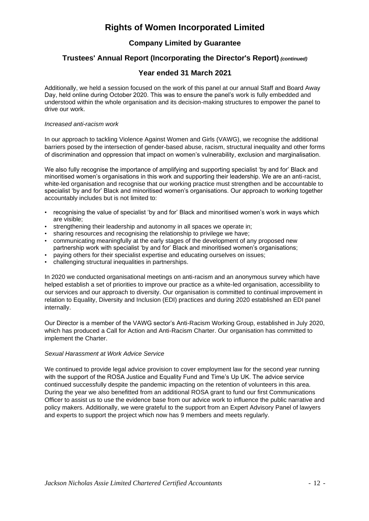# **Company Limited by Guarantee**

# **Trustees' Annual Report (Incorporating the Director's Report)** *(continued)*

## **Year ended 31 March 2021**

Additionally, we held a session focused on the work of this panel at our annual Staff and Board Away Day, held online during October 2020. This was to ensure the panel's work is fully embedded and understood within the whole organisation and its decision-making structures to empower the panel to drive our work.

### *Increased anti-racism work*

In our approach to tackling Violence Against Women and Girls (VAWG), we recognise the additional barriers posed by the intersection of gender-based abuse, racism, structural inequality and other forms of discrimination and oppression that impact on women's vulnerability, exclusion and marginalisation.

We also fully recognise the importance of amplifying and supporting specialist 'by and for' Black and minoritised women's organisations in this work and supporting their leadership. We are an anti-racist, white-led organisation and recognise that our working practice must strengthen and be accountable to specialist 'by and for' Black and minoritised women's organisations. Our approach to working together accountably includes but is not limited to:

- recognising the value of specialist 'by and for' Black and minoritised women's work in ways which are visible;
- strengthening their leadership and autonomy in all spaces we operate in;
- sharing resources and recognising the relationship to privilege we have;
- communicating meaningfully at the early stages of the development of any proposed new partnership work with specialist 'by and for' Black and minoritised women's organisations;
- paying others for their specialist expertise and educating ourselves on issues;
- challenging structural inequalities in partnerships.

In 2020 we conducted organisational meetings on anti-racism and an anonymous survey which have helped establish a set of priorities to improve our practice as a white-led organisation, accessibility to our services and our approach to diversity. Our organisation is committed to continual improvement in relation to Equality, Diversity and Inclusion (EDI) practices and during 2020 established an EDI panel internally.

Our Director is a member of the VAWG sector's Anti-Racism Working Group, established in July 2020, which has produced a Call for Action and Anti-Racism Charter. Our organisation has committed to implement the Charter.

### *Sexual Harassment at Work Advice Service*

We continued to provide legal advice provision to cover employment law for the second year running with the support of the ROSA Justice and Equality Fund and Time's Up UK. The advice service continued successfully despite the pandemic impacting on the retention of volunteers in this area. During the year we also benefitted from an additional ROSA grant to fund our first Communications Officer to assist us to use the evidence base from our advice work to influence the public narrative and policy makers. Additionally, we were grateful to the support from an Expert Advisory Panel of lawyers and experts to support the project which now has 9 members and meets regularly.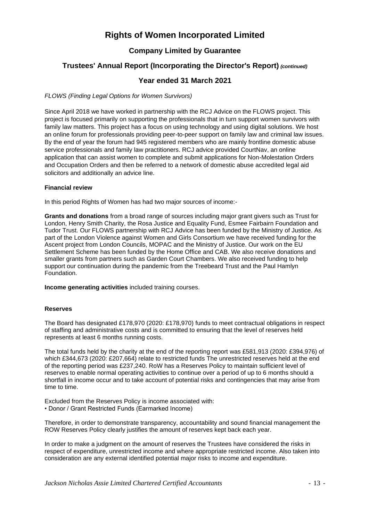# **Company Limited by Guarantee**

# **Trustees' Annual Report (Incorporating the Director's Report)** *(continued)*

# **Year ended 31 March 2021**

### *FLOWS (Finding Legal Options for Women Survivors)*

Since April 2018 we have worked in partnership with the RCJ Advice on the FLOWS project. This project is focused primarily on supporting the professionals that in turn support women survivors with family law matters. This project has a focus on using technology and using digital solutions. We host an online forum for professionals providing peer-to-peer support on family law and criminal law issues. By the end of year the forum had 945 registered members who are mainly frontline domestic abuse service professionals and family law practitioners. RCJ advice provided CourtNav, an online application that can assist women to complete and submit applications for Non-Molestation Orders and Occupation Orders and then be referred to a network of domestic abuse accredited legal aid solicitors and additionally an advice line.

### **Financial review**

In this period Rights of Women has had two major sources of income:-

**Grants and donations** from a broad range of sources including major grant givers such as Trust for London, Henry Smith Charity, the Rosa Justice and Equality Fund, Esmee Fairbairn Foundation and Tudor Trust. Our FLOWS partnership with RCJ Advice has been funded by the Ministry of Justice. As part of the London Violence against Women and Girls Consortium we have received funding for the Ascent project from London Councils, MOPAC and the Ministry of Justice. Our work on the EU Settlement Scheme has been funded by the Home Office and CAB. We also receive donations and smaller grants from partners such as Garden Court Chambers. We also received funding to help support our continuation during the pandemic from the Treebeard Trust and the Paul Hamlyn Foundation.

**Income generating activities** included training courses.

### **Reserves**

The Board has designated £178,970 (2020: £178,970) funds to meet contractual obligations in respect of staffing and administrative costs and is committed to ensuring that the level of reserves held represents at least 6 months running costs.

The total funds held by the charity at the end of the reporting report was £581,913 (2020: £394,976) of which £344,673 (2020: £207,664) relate to restricted funds The unrestricted reserves held at the end of the reporting period was £237,240. RoW has a Reserves Policy to maintain sufficient level of reserves to enable normal operating activities to continue over a period of up to 6 months should a shortfall in income occur and to take account of potential risks and contingencies that may arise from time to time.

Excluded from the Reserves Policy is income associated with: • Donor / Grant Restricted Funds (Earmarked Income)

Therefore, in order to demonstrate transparency, accountability and sound financial management the ROW Reserves Policy clearly justifies the amount of reserves kept back each year.

In order to make a judgment on the amount of reserves the Trustees have considered the risks in respect of expenditure, unrestricted income and where appropriate restricted income. Also taken into consideration are any external identified potential major risks to income and expenditure.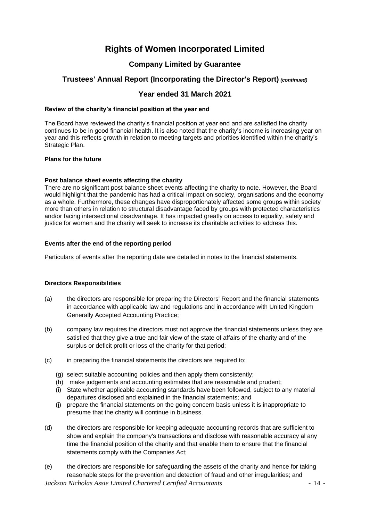# **Company Limited by Guarantee**

## **Trustees' Annual Report (Incorporating the Director's Report)** *(continued)*

# **Year ended 31 March 2021**

### **Review of the charity's financial position at the year end**

The Board have reviewed the charity's financial position at year end and are satisfied the charity continues to be in good financial health. It is also noted that the charity's income is increasing year on year and this reflects growth in relation to meeting targets and priorities identified within the charity's Strategic Plan.

### **Plans for the future**

### **Post balance sheet events affecting the charity**

There are no significant post balance sheet events affecting the charity to note. However, the Board would highlight that the pandemic has had a critical impact on society, organisations and the economy as a whole. Furthermore, these changes have disproportionately affected some groups within society more than others in relation to structural disadvantage faced by groups with protected characteristics and/or facing intersectional disadvantage. It has impacted greatly on access to equality, safety and justice for women and the charity will seek to increase its charitable activities to address this.

### **Events after the end of the reporting period**

Particulars of events after the reporting date are detailed in notes to the financial statements.

### **Directors Responsibilities**

- (a) the directors are responsible for preparing the Directors' Report and the financial statements in accordance with applicable law and regulations and in accordance with United Kingdom Generally Accepted Accounting Practice;
- (b) company law requires the directors must not approve the financial statements unless they are satisfied that they give a true and fair view of the state of affairs of the charity and of the surplus or deficit profit or loss of the charity for that period;
- (c) in preparing the financial statements the directors are required to:
	- (g) select suitable accounting policies and then apply them consistently;
	- (h) make judgements and accounting estimates that are reasonable and prudent;
	- (i) State whether applicable accounting standards have been followed, subject to any material departures disclosed and explained in the financial statements; and
	- (j) prepare the financial statements on the going concern basis unless it is inappropriate to presume that the charity will continue in business.
- (d) the directors are responsible for keeping adequate accounting records that are sufficient to show and explain the company's transactions and disclose with reasonable accuracy al any time the financial position of the charity and that enable them to ensure that the financial statements comply with the Companies Act;
- *Jackson Nicholas Assie Limited Chartered Certified Accountants* 14 (e) the directors are responsible for safeguarding the assets of the charity and hence for taking reasonable steps for the prevention and detection of fraud and other irregularities; and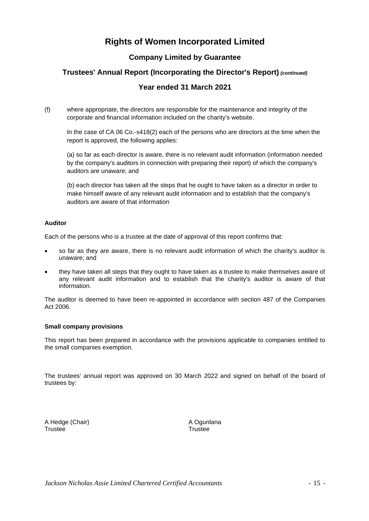# **Company Limited by Guarantee**

# **Trustees' Annual Report (Incorporating the Director's Report)** *(continued)*

# **Year ended 31 March 2021**

(f) where appropriate, the directors are responsible for the maintenance and integrity of the corporate and financial information included on the charity's website.

In the case of CA 06 Co.-s418(2) each of the persons who are directors at the time when the report is approved, the following applies:

(a) so far as each director is aware, there is no relevant audit information (information needed by the company's auditors in connection with preparing their report) of which the company's auditors are unaware; and

(b) each director has taken all the steps that he ought to have taken as a director in order to make himself aware of any relevant audit information and to establish that the company's auditors are aware of that information

### **Auditor**

Each of the persons who is a trustee at the date of approval of this report confirms that:

- so far as they are aware, there is no relevant audit information of which the charity's auditor is unaware; and
- they have taken all steps that they ought to have taken as a trustee to make themselves aware of any relevant audit information and to establish that the charity's auditor is aware of that information.

The auditor is deemed to have been re-appointed in accordance with section 487 of the Companies Act 2006.

### **Small company provisions**

This report has been prepared in accordance with the provisions applicable to companies entitled to the small companies exemption.

The trustees' annual report was approved on 30 March 2022 and signed on behalf of the board of trustees by:

A Hedge (Chair) A Ogunlana Trustee Trustee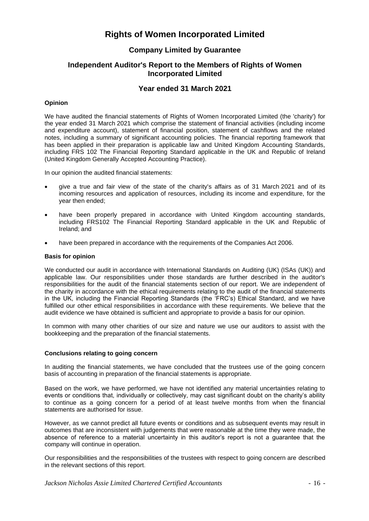# **Company Limited by Guarantee**

## **Independent Auditor's Report to the Members of Rights of Women Incorporated Limited**

## **Year ended 31 March 2021**

### **Opinion**

We have audited the financial statements of Rights of Women Incorporated Limited (the 'charity') for the year ended 31 March 2021 which comprise the statement of financial activities (including income and expenditure account), statement of financial position, statement of cashflows and the related notes, including a summary of significant accounting policies. The financial reporting framework that has been applied in their preparation is applicable law and United Kingdom Accounting Standards, including FRS 102 The Financial Reporting Standard applicable in the UK and Republic of Ireland (United Kingdom Generally Accepted Accounting Practice).

In our opinion the audited financial statements:

- give a true and fair view of the state of the charity's affairs as of 31 March 2021 and of its incoming resources and application of resources, including its income and expenditure, for the year then ended;
- have been properly prepared in accordance with United Kingdom accounting standards, including FRS102 The Financial Reporting Standard applicable in the UK and Republic of Ireland; and
- have been prepared in accordance with the requirements of the Companies Act 2006.

### **Basis for opinion**

We conducted our audit in accordance with International Standards on Auditing (UK) (ISAs (UK)) and applicable law. Our responsibilities under those standards are further described in the auditor's responsibilities for the audit of the financial statements section of our report. We are independent of the charity in accordance with the ethical requirements relating to the audit of the financial statements in the UK, including the Financial Reporting Standards (the 'FRC's) Ethical Standard, and we have fulfilled our other ethical responsibilities in accordance with these requirements. We believe that the audit evidence we have obtained is sufficient and appropriate to provide a basis for our opinion.

In common with many other charities of our size and nature we use our auditors to assist with the bookkeeping and the preparation of the financial statements.

### **Conclusions relating to going concern**

In auditing the financial statements, we have concluded that the trustees use of the going concern basis of accounting in preparation of the financial statements is appropriate.

Based on the work, we have performed, we have not identified any material uncertainties relating to events or conditions that, individually or collectively, may cast significant doubt on the charity's ability to continue as a going concern for a period of at least twelve months from when the financial statements are authorised for issue.

However, as we cannot predict all future events or conditions and as subsequent events may result in outcomes that are inconsistent with judgements that were reasonable at the time they were made, the absence of reference to a material uncertainty in this auditor's report is not a guarantee that the company will continue in operation.

Our responsibilities and the responsibilities of the trustees with respect to going concern are described in the relevant sections of this report.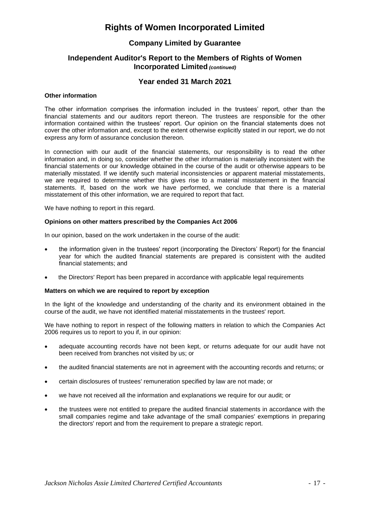## **Company Limited by Guarantee**

## **Independent Auditor's Report to the Members of Rights of Women Incorporated Limited** *(continued)*

## **Year ended 31 March 2021**

### **Other information**

The other information comprises the information included in the trustees' report, other than the financial statements and our auditors report thereon. The trustees are responsible for the other information contained within the trustees' report. Our opinion on the financial statements does not cover the other information and, except to the extent otherwise explicitly stated in our report, we do not express any form of assurance conclusion thereon.

In connection with our audit of the financial statements, our responsibility is to read the other information and, in doing so, consider whether the other information is materially inconsistent with the financial statements or our knowledge obtained in the course of the audit or otherwise appears to be materially misstated. If we identify such material inconsistencies or apparent material misstatements, we are required to determine whether this gives rise to a material misstatement in the financial statements. If, based on the work we have performed, we conclude that there is a material misstatement of this other information, we are required to report that fact.

We have nothing to report in this regard.

### **Opinions on other matters prescribed by the Companies Act 2006**

In our opinion, based on the work undertaken in the course of the audit:

- the information given in the trustees' report (incorporating the Directors' Report) for the financial year for which the audited financial statements are prepared is consistent with the audited financial statements; and
- the Directors' Report has been prepared in accordance with applicable legal requirements

### **Matters on which we are required to report by exception**

In the light of the knowledge and understanding of the charity and its environment obtained in the course of the audit, we have not identified material misstatements in the trustees' report.

We have nothing to report in respect of the following matters in relation to which the Companies Act 2006 requires us to report to you if, in our opinion:

- adequate accounting records have not been kept, or returns adequate for our audit have not been received from branches not visited by us; or
- the audited financial statements are not in agreement with the accounting records and returns; or
- certain disclosures of trustees' remuneration specified by law are not made; or
- we have not received all the information and explanations we require for our audit; or
- the trustees were not entitled to prepare the audited financial statements in accordance with the small companies regime and take advantage of the small companies' exemptions in preparing the directors' report and from the requirement to prepare a strategic report.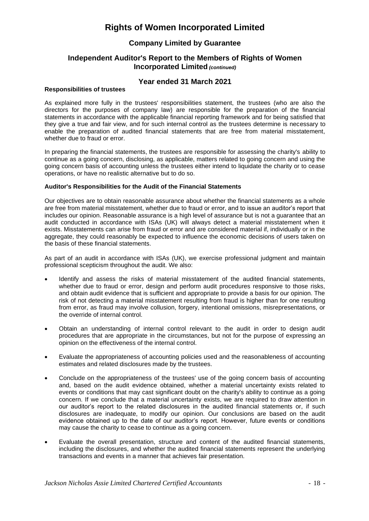# **Company Limited by Guarantee**

## **Independent Auditor's Report to the Members of Rights of Women Incorporated Limited** *(continued)*

## **Year ended 31 March 2021**

### **Responsibilities of trustees**

As explained more fully in the trustees' responsibilities statement, the trustees (who are also the directors for the purposes of company law) are responsible for the preparation of the financial statements in accordance with the applicable financial reporting framework and for being satisfied that they give a true and fair view, and for such internal control as the trustees determine is necessary to enable the preparation of audited financial statements that are free from material misstatement, whether due to fraud or error.

In preparing the financial statements, the trustees are responsible for assessing the charity's ability to continue as a going concern, disclosing, as applicable, matters related to going concern and using the going concern basis of accounting unless the trustees either intend to liquidate the charity or to cease operations, or have no realistic alternative but to do so.

### **Auditor's Responsibilities for the Audit of the Financial Statements**

Our objectives are to obtain reasonable assurance about whether the financial statements as a whole are free from material misstatement, whether due to fraud or error, and to issue an auditor's report that includes our opinion. Reasonable assurance is a high level of assurance but is not a guarantee that an audit conducted in accordance with ISAs (UK) will always detect a material misstatement when it exists. Misstatements can arise from fraud or error and are considered material if, individually or in the aggregate, they could reasonably be expected to influence the economic decisions of users taken on the basis of these financial statements.

As part of an audit in accordance with ISAs (UK), we exercise professional judgment and maintain professional scepticism throughout the audit. We also:

- Identify and assess the risks of material misstatement of the audited financial statements, whether due to fraud or error, design and perform audit procedures responsive to those risks, and obtain audit evidence that is sufficient and appropriate to provide a basis for our opinion. The risk of not detecting a material misstatement resulting from fraud is higher than for one resulting from error, as fraud may involve collusion, forgery, intentional omissions, misrepresentations, or the override of internal control.
- Obtain an understanding of internal control relevant to the audit in order to design audit procedures that are appropriate in the circumstances, but not for the purpose of expressing an opinion on the effectiveness of the internal control.
- Evaluate the appropriateness of accounting policies used and the reasonableness of accounting estimates and related disclosures made by the trustees.
- Conclude on the appropriateness of the trustees' use of the going concern basis of accounting and, based on the audit evidence obtained, whether a material uncertainty exists related to events or conditions that may cast significant doubt on the charity's ability to continue as a going concern. If we conclude that a material uncertainty exists, we are required to draw attention in our auditor's report to the related disclosures in the audited financial statements or, if such disclosures are inadequate, to modify our opinion. Our conclusions are based on the audit evidence obtained up to the date of our auditor's report. However, future events or conditions may cause the charity to cease to continue as a going concern.
- Evaluate the overall presentation, structure and content of the audited financial statements, including the disclosures, and whether the audited financial statements represent the underlying transactions and events in a manner that achieves fair presentation.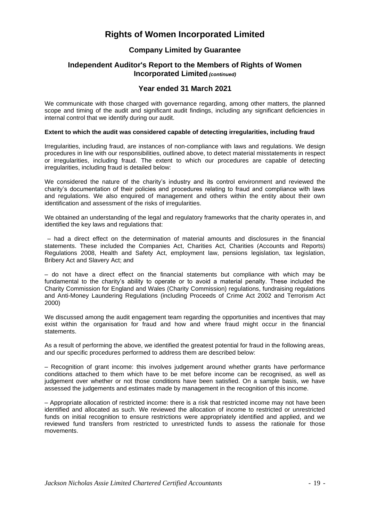## **Company Limited by Guarantee**

### **Independent Auditor's Report to the Members of Rights of Women Incorporated Limited** *(continued)*

### **Year ended 31 March 2021**

We communicate with those charged with governance regarding, among other matters, the planned scope and timing of the audit and significant audit findings, including any significant deficiencies in internal control that we identify during our audit.

### **Extent to which the audit was considered capable of detecting irregularities, including fraud**

Irregularities, including fraud, are instances of non-compliance with laws and regulations. We design procedures in line with our responsibilities, outlined above, to detect material misstatements in respect or irregularities, including fraud. The extent to which our procedures are capable of detecting irregularities, including fraud is detailed below:

We considered the nature of the charity's industry and its control environment and reviewed the charity's documentation of their policies and procedures relating to fraud and compliance with laws and regulations. We also enquired of management and others within the entity about their own identification and assessment of the risks of irregularities.

We obtained an understanding of the legal and regulatory frameworks that the charity operates in, and identified the key laws and regulations that:

– had a direct effect on the determination of material amounts and disclosures in the financial statements. These included the Companies Act, Charities Act, Charities (Accounts and Reports) Regulations 2008, Health and Safety Act, employment law, pensions legislation, tax legislation, Bribery Act and Slavery Act; and

– do not have a direct effect on the financial statements but compliance with which may be fundamental to the charity's ability to operate or to avoid a material penalty. These included the Charity Commission for England and Wales (Charity Commission) regulations, fundraising regulations and Anti-Money Laundering Regulations (including Proceeds of Crime Act 2002 and Terrorism Act 2000)

We discussed among the audit engagement team regarding the opportunities and incentives that may exist within the organisation for fraud and how and where fraud might occur in the financial statements.

As a result of performing the above, we identified the greatest potential for fraud in the following areas, and our specific procedures performed to address them are described below:

– Recognition of grant income: this involves judgement around whether grants have performance conditions attached to them which have to be met before income can be recognised, as well as judgement over whether or not those conditions have been satisfied. On a sample basis, we have assessed the judgements and estimates made by management in the recognition of this income.

– Appropriate allocation of restricted income: there is a risk that restricted income may not have been identified and allocated as such. We reviewed the allocation of income to restricted or unrestricted funds on initial recognition to ensure restrictions were appropriately identified and applied, and we reviewed fund transfers from restricted to unrestricted funds to assess the rationale for those movements.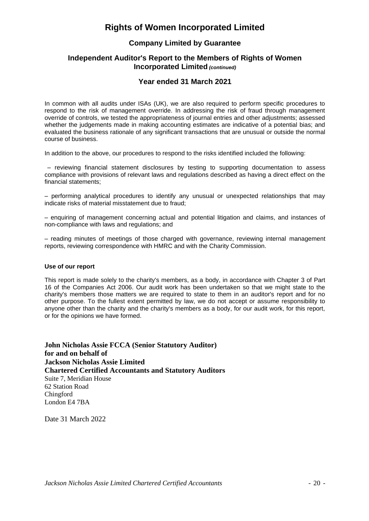## **Company Limited by Guarantee**

## **Independent Auditor's Report to the Members of Rights of Women Incorporated Limited** *(continued)*

# **Year ended 31 March 2021**

In common with all audits under ISAs (UK), we are also required to perform specific procedures to respond to the risk of management override. In addressing the risk of fraud through management override of controls, we tested the appropriateness of journal entries and other adjustments; assessed whether the judgements made in making accounting estimates are indicative of a potential bias; and evaluated the business rationale of any significant transactions that are unusual or outside the normal course of business.

In addition to the above, our procedures to respond to the risks identified included the following:

– reviewing financial statement disclosures by testing to supporting documentation to assess compliance with provisions of relevant laws and regulations described as having a direct effect on the financial statements;

– performing analytical procedures to identify any unusual or unexpected relationships that may indicate risks of material misstatement due to fraud;

– enquiring of management concerning actual and potential litigation and claims, and instances of non-compliance with laws and regulations; and

– reading minutes of meetings of those charged with governance, reviewing internal management reports, reviewing correspondence with HMRC and with the Charity Commission.

### **Use of our report**

This report is made solely to the charity's members, as a body, in accordance with Chapter 3 of Part 16 of the Companies Act 2006. Our audit work has been undertaken so that we might state to the charity's members those matters we are required to state to them in an auditor's report and for no other purpose. To the fullest extent permitted by law, we do not accept or assume responsibility to anyone other than the charity and the charity's members as a body, for our audit work, for this report, or for the opinions we have formed.

**John Nicholas Assie FCCA (Senior Statutory Auditor) for and on behalf of Jackson Nicholas Assie Limited Chartered Certified Accountants and Statutory Auditors** Suite 7, Meridian House 62 Station Road Chingford London E4 7BA

Date 31 March 2022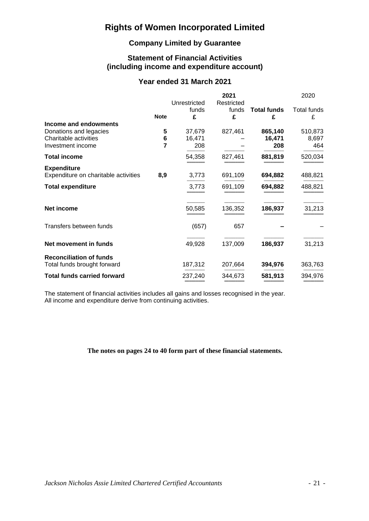# **Company Limited by Guarantee**

# **Statement of Financial Activities (including income and expenditure account)**

# **Year ended 31 March 2021**

|                                                                      |                          |                            | 2021                     |                          | 2020                    |
|----------------------------------------------------------------------|--------------------------|----------------------------|--------------------------|--------------------------|-------------------------|
|                                                                      | <b>Note</b>              | Unrestricted<br>funds<br>£ | Restricted<br>funds<br>£ | <b>Total funds</b><br>£  | <b>Total funds</b><br>£ |
| Income and endowments                                                |                          |                            |                          |                          |                         |
| Donations and legacies<br>Charitable activities<br>Investment income | 5<br>6<br>$\overline{7}$ | 37,679<br>16,471<br>208    | 827,461                  | 865,140<br>16,471<br>208 | 510,873<br>8,697<br>464 |
| <b>Total income</b>                                                  |                          | 54,358                     | 827,461                  | 881,819                  | 520,034                 |
| <b>Expenditure</b><br>Expenditure on charitable activities           | 8,9                      | 3,773                      | 691,109                  | 694,882                  | 488,821                 |
| <b>Total expenditure</b>                                             |                          | 3,773                      | 691,109                  | 694,882                  | 488,821                 |
|                                                                      |                          |                            |                          |                          |                         |
| <b>Net income</b>                                                    |                          | 50,585                     | 136,352                  | 186,937                  | 31,213                  |
| Transfers between funds                                              |                          | (657)                      | 657                      |                          |                         |
| Net movement in funds                                                |                          | 49,928                     | 137,009                  | 186,937                  | 31,213                  |
| <b>Reconciliation of funds</b><br>Total funds brought forward        |                          | 187,312                    | 207,664                  | 394,976                  | 363,763                 |
|                                                                      |                          |                            |                          |                          |                         |
| <b>Total funds carried forward</b>                                   |                          | 237,240                    | 344,673                  | 581,913                  | 394,976                 |

The statement of financial activities includes all gains and losses recognised in the year. All income and expenditure derive from continuing activities.

### **The notes on pages 24 to 40 form part of these financial statements.**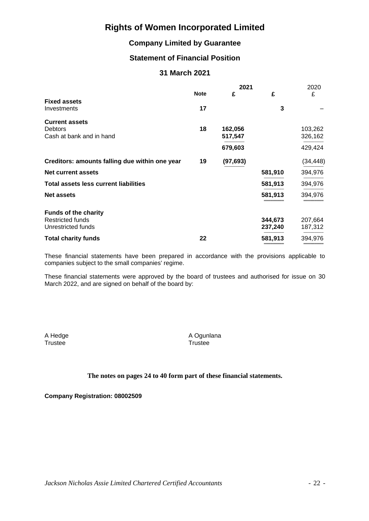# **Company Limited by Guarantee**

# **Statement of Financial Position**

# **31 March 2021**

|                                                                     | 2021        |                    |                    | 2020               |
|---------------------------------------------------------------------|-------------|--------------------|--------------------|--------------------|
|                                                                     | <b>Note</b> | £                  | £                  | £                  |
| <b>Fixed assets</b><br>Investments                                  | 17          |                    | 3                  |                    |
| <b>Current assets</b><br><b>Debtors</b><br>Cash at bank and in hand | 18          | 162,056<br>517,547 |                    | 103,262<br>326,162 |
|                                                                     |             | 679,603            |                    | 429,424            |
| Creditors: amounts falling due within one year                      | 19          | (97, 693)          |                    | (34,448)           |
| <b>Net current assets</b>                                           |             |                    | 581,910            | 394,976            |
| <b>Total assets less current liabilities</b>                        |             |                    | 581,913            | 394,976            |
| <b>Net assets</b>                                                   |             |                    | 581,913            | 394,976            |
| <b>Funds of the charity</b>                                         |             |                    |                    |                    |
| Restricted funds<br>Unrestricted funds                              |             |                    | 344,673<br>237,240 | 207,664<br>187,312 |
| <b>Total charity funds</b>                                          | 22          |                    | 581,913            | 394,976            |
|                                                                     |             |                    |                    |                    |

These financial statements have been prepared in accordance with the provisions applicable to companies subject to the small companies' regime.

These financial statements were approved by the board of trustees and authorised for issue on 30 March 2022, and are signed on behalf of the board by:

**Trustee** 

A Hedge A Ogunlana<br>
Trustee A Ogunlana<br>
Trustee A Ogunlana

### **The notes on pages 24 to 40 form part of these financial statements.**

**Company Registration: 08002509**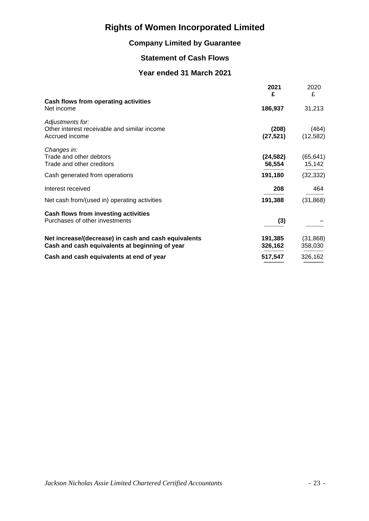# **Company Limited by Guarantee**

# **Statement of Cash Flows**

# **Year ended 31 March 2021**

|                                                                                                        | 2021<br>£           | 2020<br>£            |
|--------------------------------------------------------------------------------------------------------|---------------------|----------------------|
| Cash flows from operating activities<br>Net income                                                     | 186,937             | 31,213               |
| Adjustments for:<br>Other interest receivable and similar income<br>Accrued income                     | (208)<br>(27, 521)  | (464)<br>(12, 582)   |
| Changes in:<br>Trade and other debtors<br>Trade and other creditors                                    | (24, 582)<br>56,554 | (65, 641)<br>15,142  |
| Cash generated from operations                                                                         | 191,180             | (32, 332)            |
| Interest received                                                                                      | 208                 | 464                  |
| Net cash from/(used in) operating activities                                                           | 191,388             | (31, 868)            |
| Cash flows from investing activities<br>Purchases of other investments                                 | (3)                 |                      |
| Net increase/(decrease) in cash and cash equivalents<br>Cash and cash equivalents at beginning of year | 191,385<br>326,162  | (31, 868)<br>358,030 |
| Cash and cash equivalents at end of year                                                               | 517,547             | 326,162              |
|                                                                                                        |                     |                      |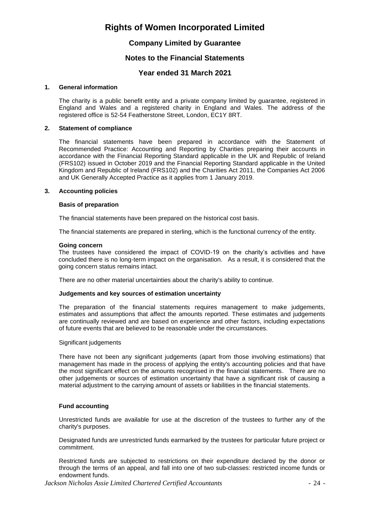# **Company Limited by Guarantee**

## **Notes to the Financial Statements**

## **Year ended 31 March 2021**

### **1. General information**

The charity is a public benefit entity and a private company limited by guarantee, registered in England and Wales and a registered charity in England and Wales. The address of the registered office is 52-54 Featherstone Street, London, EC1Y 8RT.

### **2. Statement of compliance**

The financial statements have been prepared in accordance with the Statement of Recommended Practice: Accounting and Reporting by Charities preparing their accounts in accordance with the Financial Reporting Standard applicable in the UK and Republic of Ireland (FRS102) issued in October 2019 and the Financial Reporting Standard applicable in the United Kingdom and Republic of Ireland (FRS102) and the Charities Act 2011, the Companies Act 2006 and UK Generally Accepted Practice as it applies from 1 January 2019.

### **3. Accounting policies**

#### **Basis of preparation**

The financial statements have been prepared on the historical cost basis.

The financial statements are prepared in sterling, which is the functional currency of the entity.

#### **Going concern**

The trustees have considered the impact of COVID-19 on the charity's activities and have concluded there is no long-term impact on the organisation. As a result, it is considered that the going concern status remains intact.

There are no other material uncertainties about the charity's ability to continue.

### **Judgements and key sources of estimation uncertainty**

The preparation of the financial statements requires management to make judgements, estimates and assumptions that affect the amounts reported. These estimates and judgements are continually reviewed and are based on experience and other factors, including expectations of future events that are believed to be reasonable under the circumstances.

### Significant judgements

There have not been any significant judgements (apart from those involving estimations) that management has made in the process of applying the entity's accounting policies and that have the most significant effect on the amounts recognised in the financial statements. There are no other judgements or sources of estimation uncertainty that have a significant risk of causing a material adjustment to the carrying amount of assets or liabilities in the financial statements.

### **Fund accounting**

Unrestricted funds are available for use at the discretion of the trustees to further any of the charity's purposes.

Designated funds are unrestricted funds earmarked by the trustees for particular future project or commitment.

Restricted funds are subjected to restrictions on their expenditure declared by the donor or through the terms of an appeal, and fall into one of two sub-classes: restricted income funds or endowment funds.

*Jackson Nicholas Assie Limited Chartered Certified Accountants* - 24 -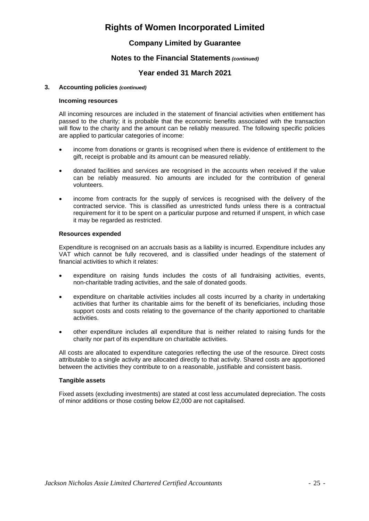# **Company Limited by Guarantee**

## **Notes to the Financial Statements** *(continued)*

### **Year ended 31 March 2021**

### **3. Accounting policies** *(continued)*

### **Incoming resources**

All incoming resources are included in the statement of financial activities when entitlement has passed to the charity; it is probable that the economic benefits associated with the transaction will flow to the charity and the amount can be reliably measured. The following specific policies are applied to particular categories of income:

- income from donations or grants is recognised when there is evidence of entitlement to the gift, receipt is probable and its amount can be measured reliably.
- donated facilities and services are recognised in the accounts when received if the value can be reliably measured. No amounts are included for the contribution of general volunteers.
- income from contracts for the supply of services is recognised with the delivery of the contracted service. This is classified as unrestricted funds unless there is a contractual requirement for it to be spent on a particular purpose and returned if unspent, in which case it may be regarded as restricted.

#### **Resources expended**

Expenditure is recognised on an accruals basis as a liability is incurred. Expenditure includes any VAT which cannot be fully recovered, and is classified under headings of the statement of financial activities to which it relates:

- expenditure on raising funds includes the costs of all fundraising activities, events, non-charitable trading activities, and the sale of donated goods.
- expenditure on charitable activities includes all costs incurred by a charity in undertaking activities that further its charitable aims for the benefit of its beneficiaries, including those support costs and costs relating to the governance of the charity apportioned to charitable activities.
- other expenditure includes all expenditure that is neither related to raising funds for the charity nor part of its expenditure on charitable activities.

All costs are allocated to expenditure categories reflecting the use of the resource. Direct costs attributable to a single activity are allocated directly to that activity. Shared costs are apportioned between the activities they contribute to on a reasonable, justifiable and consistent basis.

#### **Tangible assets**

Fixed assets (excluding investments) are stated at cost less accumulated depreciation. The costs of minor additions or those costing below £2,000 are not capitalised.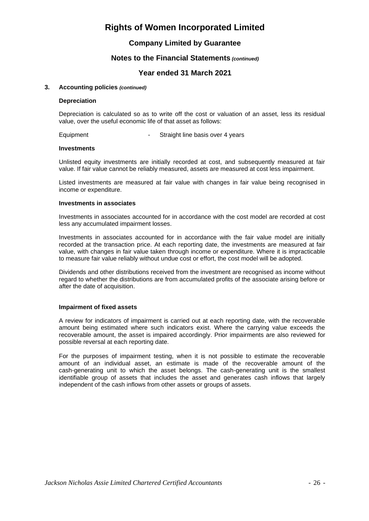# **Company Limited by Guarantee**

## **Notes to the Financial Statements** *(continued)*

## **Year ended 31 March 2021**

### **3. Accounting policies** *(continued)*

#### **Depreciation**

Depreciation is calculated so as to write off the cost or valuation of an asset, less its residual value, over the useful economic life of that asset as follows:

Equipment **Equipment** - Straight line basis over 4 years

### **Investments**

Unlisted equity investments are initially recorded at cost, and subsequently measured at fair value. If fair value cannot be reliably measured, assets are measured at cost less impairment.

Listed investments are measured at fair value with changes in fair value being recognised in income or expenditure.

#### **Investments in associates**

Investments in associates accounted for in accordance with the cost model are recorded at cost less any accumulated impairment losses.

Investments in associates accounted for in accordance with the fair value model are initially recorded at the transaction price. At each reporting date, the investments are measured at fair value, with changes in fair value taken through income or expenditure. Where it is impracticable to measure fair value reliably without undue cost or effort, the cost model will be adopted.

Dividends and other distributions received from the investment are recognised as income without regard to whether the distributions are from accumulated profits of the associate arising before or after the date of acquisition.

#### **Impairment of fixed assets**

A review for indicators of impairment is carried out at each reporting date, with the recoverable amount being estimated where such indicators exist. Where the carrying value exceeds the recoverable amount, the asset is impaired accordingly. Prior impairments are also reviewed for possible reversal at each reporting date.

For the purposes of impairment testing, when it is not possible to estimate the recoverable amount of an individual asset, an estimate is made of the recoverable amount of the cash-generating unit to which the asset belongs. The cash-generating unit is the smallest identifiable group of assets that includes the asset and generates cash inflows that largely independent of the cash inflows from other assets or groups of assets.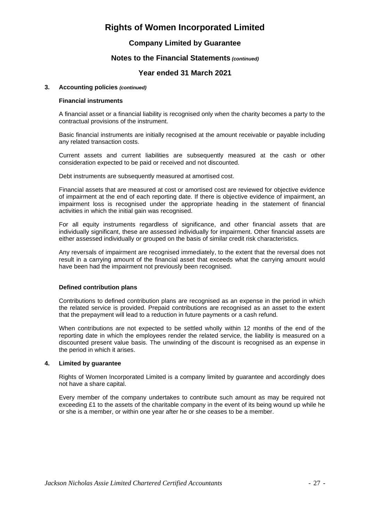# **Company Limited by Guarantee**

## **Notes to the Financial Statements** *(continued)*

### **Year ended 31 March 2021**

### **3. Accounting policies** *(continued)*

#### **Financial instruments**

A financial asset or a financial liability is recognised only when the charity becomes a party to the contractual provisions of the instrument.

Basic financial instruments are initially recognised at the amount receivable or payable including any related transaction costs.

Current assets and current liabilities are subsequently measured at the cash or other consideration expected to be paid or received and not discounted.

Debt instruments are subsequently measured at amortised cost.

Financial assets that are measured at cost or amortised cost are reviewed for objective evidence of impairment at the end of each reporting date. If there is objective evidence of impairment, an impairment loss is recognised under the appropriate heading in the statement of financial activities in which the initial gain was recognised.

For all equity instruments regardless of significance, and other financial assets that are individually significant, these are assessed individually for impairment. Other financial assets are either assessed individually or grouped on the basis of similar credit risk characteristics.

Any reversals of impairment are recognised immediately, to the extent that the reversal does not result in a carrying amount of the financial asset that exceeds what the carrying amount would have been had the impairment not previously been recognised.

### **Defined contribution plans**

Contributions to defined contribution plans are recognised as an expense in the period in which the related service is provided. Prepaid contributions are recognised as an asset to the extent that the prepayment will lead to a reduction in future payments or a cash refund.

When contributions are not expected to be settled wholly within 12 months of the end of the reporting date in which the employees render the related service, the liability is measured on a discounted present value basis. The unwinding of the discount is recognised as an expense in the period in which it arises.

### **4. Limited by guarantee**

Rights of Women Incorporated Limited is a company limited by guarantee and accordingly does not have a share capital.

Every member of the company undertakes to contribute such amount as may be required not exceeding £1 to the assets of the charitable company in the event of its being wound up while he or she is a member, or within one year after he or she ceases to be a member.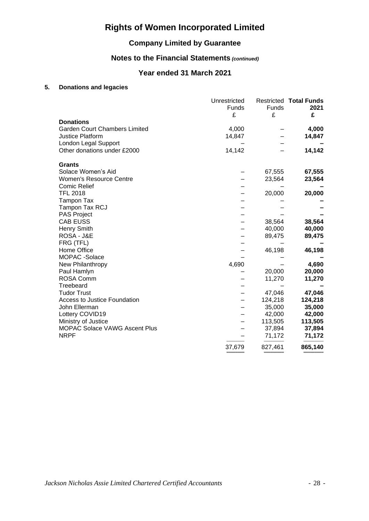# **Company Limited by Guarantee**

# **Notes to the Financial Statements** *(continued)*

# **Year ended 31 March 2021**

# **5. Donations and legacies**

|                                      | Unrestricted<br>Funds | Funds   | <b>Restricted Total Funds</b><br>2021 |
|--------------------------------------|-----------------------|---------|---------------------------------------|
|                                      | £                     | £       | £                                     |
| <b>Donations</b>                     |                       |         |                                       |
| <b>Garden Court Chambers Limited</b> | 4,000                 |         | 4,000                                 |
| Justice Platform                     | 14,847                |         | 14,847                                |
| London Legal Support                 |                       |         |                                       |
| Other donations under £2000          | 14,142                |         | 14,142                                |
| <b>Grants</b>                        |                       |         |                                       |
| Solace Women's Aid                   |                       | 67,555  | 67,555                                |
| <b>Women's Resource Centre</b>       |                       | 23,564  | 23,564                                |
| <b>Comic Relief</b>                  |                       |         |                                       |
| <b>TFL 2018</b>                      |                       | 20,000  | 20,000                                |
| <b>Tampon Tax</b>                    |                       |         |                                       |
| Tampon Tax RCJ                       |                       |         |                                       |
| <b>PAS Project</b>                   |                       |         |                                       |
| <b>CAB EUSS</b>                      |                       | 38,564  | 38,564                                |
| Henry Smith                          |                       | 40,000  | 40,000                                |
| ROSA - J&E                           |                       | 89,475  | 89,475                                |
| FRG (TFL)                            |                       |         |                                       |
| Home Office                          |                       | 46,198  | 46,198                                |
| MOPAC -Solace                        |                       |         |                                       |
| New Philanthropy                     | 4,690                 |         | 4,690                                 |
| Paul Hamlyn                          |                       | 20,000  | 20,000                                |
| <b>ROSA Comm</b>                     |                       | 11,270  | 11,270                                |
| Treebeard                            |                       |         |                                       |
| <b>Tudor Trust</b>                   |                       | 47,046  | 47,046                                |
| Access to Justice Foundation         |                       | 124,218 | 124,218                               |
| John Ellerman                        |                       | 35,000  | 35,000                                |
| Lottery COVID19                      |                       | 42,000  | 42,000                                |
| Ministry of Justice                  |                       | 113,505 | 113,505                               |
| <b>MOPAC Solace VAWG Ascent Plus</b> |                       | 37,894  | 37,894                                |
| <b>NRPF</b>                          |                       | 71,172  | 71,172                                |
|                                      | 37,679                | 827,461 | 865,140                               |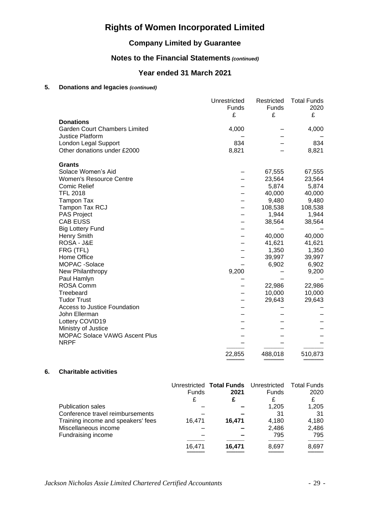# **Company Limited by Guarantee**

# **Notes to the Financial Statements** *(continued)*

# **Year ended 31 March 2021**

## **5. Donations and legacies** *(continued)*

|                                      | Unrestricted      | Restricted        | <b>Total Funds</b> |
|--------------------------------------|-------------------|-------------------|--------------------|
|                                      | <b>Funds</b><br>£ | <b>Funds</b><br>£ | 2020               |
| <b>Donations</b>                     |                   |                   | £                  |
|                                      |                   |                   |                    |
| <b>Garden Court Chambers Limited</b> | 4,000             |                   | 4,000              |
| <b>Justice Platform</b>              |                   |                   |                    |
| London Legal Support                 | 834               |                   | 834                |
| Other donations under £2000          | 8,821             |                   | 8,821              |
| <b>Grants</b>                        |                   |                   |                    |
| Solace Women's Aid                   |                   | 67,555            | 67,555             |
| <b>Women's Resource Centre</b>       |                   | 23,564            | 23,564             |
| <b>Comic Relief</b>                  |                   | 5,874             | 5,874              |
| <b>TFL 2018</b>                      |                   | 40,000            | 40,000             |
| Tampon Tax                           |                   | 9,480             | 9,480              |
| Tampon Tax RCJ                       |                   | 108,538           | 108,538            |
| <b>PAS Project</b>                   |                   | 1,944             | 1,944              |
| <b>CAB EUSS</b>                      |                   | 38,564            | 38,564             |
| <b>Big Lottery Fund</b>              |                   |                   |                    |
| <b>Henry Smith</b>                   |                   | 40,000            | 40,000             |
| ROSA - J&E                           |                   | 41,621            | 41,621             |
| FRG (TFL)                            |                   | 1,350             | 1,350              |
| Home Office                          |                   | 39,997            | 39,997             |
| <b>MOPAC -Solace</b>                 |                   | 6,902             | 6,902              |
| New Philanthropy                     | 9,200             |                   | 9,200              |
| Paul Hamlyn                          |                   |                   |                    |
| <b>ROSA Comm</b>                     |                   | 22,986            | 22,986             |
| Treebeard                            |                   | 10,000            | 10,000             |
| <b>Tudor Trust</b>                   |                   | 29,643            | 29,643             |
| <b>Access to Justice Foundation</b>  |                   |                   |                    |
| John Ellerman                        |                   |                   |                    |
| Lottery COVID19                      |                   |                   |                    |
| Ministry of Justice                  |                   |                   |                    |
| <b>MOPAC Solace VAWG Ascent Plus</b> |                   |                   |                    |
| <b>NRPF</b>                          |                   |                   |                    |
|                                      |                   |                   |                    |
|                                      | 22,855            | 488,018           | 510,873            |

### **6. Charitable activities**

|                                    |        | Unrestricted Total Funds Unrestricted |       | <b>Total Funds</b> |
|------------------------------------|--------|---------------------------------------|-------|--------------------|
|                                    | Funds  | 2021                                  | Funds | 2020               |
|                                    | £      | £                                     | £     | £                  |
| <b>Publication sales</b>           |        |                                       | 1.205 | 1,205              |
| Conference travel reimbursements   |        |                                       | 31    | 31                 |
| Training income and speakers' fees | 16,471 | 16,471                                | 4,180 | 4,180              |
| Miscellaneous income               |        |                                       | 2,486 | 2,486              |
| Fundraising income                 |        |                                       | 795   | 795                |
|                                    |        |                                       |       |                    |
|                                    | 16,471 | 16,471                                | 8,697 | 8,697              |
|                                    |        |                                       |       | _____              |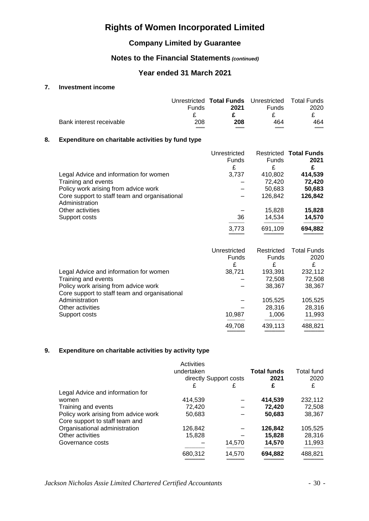# **Company Limited by Guarantee**

# **Notes to the Financial Statements** *(continued)*

# **Year ended 31 March 2021**

## **7. Investment income**

|                          |              | Unrestricted Total Funds Unrestricted Total Funds |              |      |
|--------------------------|--------------|---------------------------------------------------|--------------|------|
|                          | <b>Funds</b> | 2021                                              | <b>Funds</b> | 2020 |
|                          |              |                                                   |              |      |
| Bank interest receivable | 208          | 208                                               | 464          | 464  |
|                          |              |                                                   |              |      |

### **8. Expenditure on charitable activities by fund type**

|                                                                 | Unrestricted |              | <b>Restricted Total Funds</b> |
|-----------------------------------------------------------------|--------------|--------------|-------------------------------|
|                                                                 | <b>Funds</b> | <b>Funds</b> | 2021                          |
|                                                                 | £            | £            | £                             |
| Legal Advice and information for women                          | 3.737        | 410,802      | 414,539                       |
| Training and events                                             |              | 72.420       | 72,420                        |
| Policy work arising from advice work                            |              | 50,683       | 50,683                        |
| Core support to staff team and organisational<br>Administration |              | 126.842      | 126,842                       |
| Other activities                                                |              | 15,828       | 15,828                        |
| Support costs                                                   | 36           | 14,534       | 14,570                        |
|                                                                 | 3.773        | 691,109      | 694,882                       |

|                                               | Unrestricted<br><b>Funds</b> | Restricted<br><b>Funds</b> | <b>Total Funds</b><br>2020 |
|-----------------------------------------------|------------------------------|----------------------------|----------------------------|
|                                               | £                            | £                          | £                          |
| Legal Advice and information for women        | 38,721                       | 193,391                    | 232,112                    |
| Training and events                           |                              | 72,508                     | 72,508                     |
| Policy work arising from advice work          |                              | 38,367                     | 38,367                     |
| Core support to staff team and organisational |                              |                            |                            |
| Administration                                |                              | 105,525                    | 105,525                    |
| Other activities                              |                              | 28,316                     | 28,316                     |
| Support costs                                 | 10,987                       | 1.006                      | 11,993                     |
|                                               | 49,708                       | 439,113                    | 488,821                    |
|                                               |                              |                            |                            |

# **9. Expenditure on charitable activities by activity type**

|                                      | Activities<br>undertaken<br>directly Support costs |        | <b>Total funds</b><br>2021 | Total fund<br>2020 |
|--------------------------------------|----------------------------------------------------|--------|----------------------------|--------------------|
|                                      | £                                                  | £      | £                          | £                  |
| Legal Advice and information for     |                                                    |        |                            |                    |
| women                                | 414,539                                            |        | 414,539                    | 232,112            |
| Training and events                  | 72,420                                             |        | 72,420                     | 72,508             |
| Policy work arising from advice work | 50,683                                             |        | 50,683                     | 38,367             |
| Core support to staff team and       |                                                    |        |                            |                    |
| Organisational administration        | 126,842                                            |        | 126,842                    | 105,525            |
| Other activities                     | 15,828                                             |        | 15,828                     | 28,316             |
| Governance costs                     |                                                    | 14.570 | 14,570                     | 11,993             |
|                                      | 680,312                                            | 14,570 | 694,882                    | 488,821            |
|                                      |                                                    |        |                            |                    |

═══════ ═════════ ═════════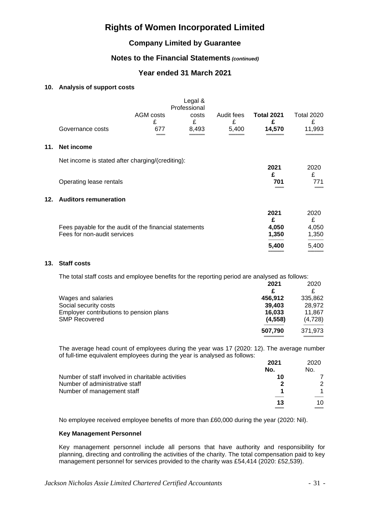# **Company Limited by Guarantee**

# **Notes to the Financial Statements** *(continued)*

# **Year ended 31 March 2021**

## **10. Analysis of support costs**

|     |                                                        |                       | Legal &<br>Professional |                 |                        |                        |
|-----|--------------------------------------------------------|-----------------------|-------------------------|-----------------|------------------------|------------------------|
|     |                                                        | <b>AGM</b> costs<br>£ | costs<br>£              | Audit fees<br>£ | <b>Total 2021</b><br>£ | <b>Total 2020</b><br>£ |
|     | Governance costs                                       | 677                   | 8,493                   | 5,400           | 14,570                 | 11,993                 |
| 11. | Net income                                             |                       |                         |                 |                        |                        |
|     | Net income is stated after charging/(crediting):       |                       |                         |                 |                        |                        |
|     |                                                        |                       |                         |                 | 2021<br>£              | 2020<br>£              |
|     | Operating lease rentals                                |                       |                         |                 | 701                    | 771                    |
| 12. | <b>Auditors remuneration</b>                           |                       |                         |                 |                        |                        |
|     |                                                        |                       |                         |                 | 2021                   | 2020                   |
|     | Fees payable for the audit of the financial statements |                       |                         |                 | £<br>4,050             | £<br>4,050             |
|     | Fees for non-audit services                            |                       |                         |                 | 1,350                  | 1,350                  |
|     |                                                        |                       |                         |                 | 5,400                  | 5,400                  |
|     |                                                        |                       |                         |                 |                        |                        |

### **13. Staff costs**

The total staff costs and employee benefits for the reporting period are analysed as follows:

|                                         | 2021     | 2020    |
|-----------------------------------------|----------|---------|
|                                         | £        |         |
| Wages and salaries                      | 456.912  | 335,862 |
| Social security costs                   | 39,403   | 28,972  |
| Employer contributions to pension plans | 16,033   | 11.867  |
| <b>SMP Recovered</b>                    | (4, 558) | (4,728) |
|                                         | 507,790  | 371,973 |
|                                         |          |         |

The average head count of employees during the year was 17 (2020: 12). The average number of full-time equivalent employees during the year is analysed as follows:

|                                                   | 2021 | 2020          |
|---------------------------------------------------|------|---------------|
|                                                   | No.  | No.           |
| Number of staff involved in charitable activities | 10   |               |
| Number of administrative staff                    |      | $\mathcal{P}$ |
| Number of management staff                        |      |               |
|                                                   | 13   | 10            |
|                                                   |      |               |

No employee received employee benefits of more than £60,000 during the year (2020: Nil).

### **Key Management Personnel**

Key management personnel include all persons that have authority and responsibility for planning, directing and controlling the activities of the charity. The total compensation paid to key management personnel for services provided to the charity was £54,414 (2020: £52,539).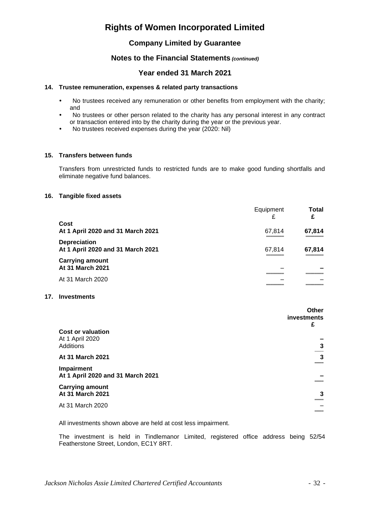# **Company Limited by Guarantee**

## **Notes to the Financial Statements** *(continued)*

## **Year ended 31 March 2021**

### **14. Trustee remuneration, expenses & related party transactions**

- No trustees received any remuneration or other benefits from employment with the charity; and
- No trustees or other person related to the charity has any personal interest in any contract or transaction entered into by the charity during the year or the previous year.
- No trustees received expenses during the year (2020: Nil)

### **15. Transfers between funds**

Transfers from unrestricted funds to restricted funds are to make good funding shortfalls and eliminate negative fund balances.

### **16. Tangible fixed assets**

|                                                          | Equipment | Total<br>£ |
|----------------------------------------------------------|-----------|------------|
| Cost<br>At 1 April 2020 and 31 March 2021                | 67,814    | 67,814     |
| <b>Depreciation</b><br>At 1 April 2020 and 31 March 2021 | 67,814    | 67,814     |
| <b>Carrying amount</b><br>At 31 March 2021               |           |            |
| At 31 March 2020                                         |           |            |
|                                                          |           |            |

### **17. Investments**

|                                   | Other<br><b>investments</b> |
|-----------------------------------|-----------------------------|
|                                   | £                           |
| <b>Cost or valuation</b>          |                             |
| At 1 April 2020                   |                             |
| Additions                         | 3                           |
| At 31 March 2021                  | 3                           |
|                                   | ____                        |
| Impairment                        |                             |
| At 1 April 2020 and 31 March 2021 |                             |
| <b>Carrying amount</b>            |                             |
| At 31 March 2021                  | 3                           |
|                                   |                             |
| At 31 March 2020                  |                             |
|                                   | ____                        |

All investments shown above are held at cost less impairment.

The investment is held in Tindlemanor Limited, registered office address being 52/54 Featherstone Street, London, EC1Y 8RT.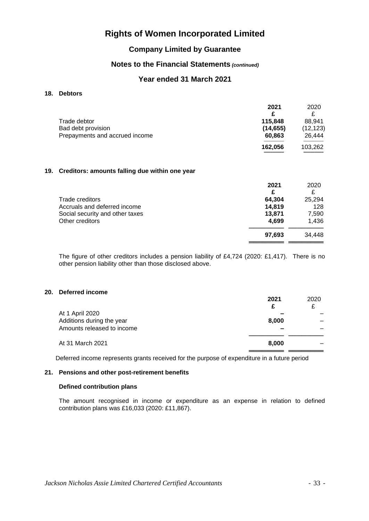# **Company Limited by Guarantee**

### **Notes to the Financial Statements** *(continued)*

## **Year ended 31 March 2021**

### **18. Debtors**

|                                | 2021      | 2020<br>£ |
|--------------------------------|-----------|-----------|
| Trade debtor                   | 115.848   | 88.941    |
| Bad debt provision             | (14, 655) | (12, 123) |
| Prepayments and accrued income | 60.863    | 26.444    |
|                                | 162.056   | 103,262   |

### **19. Creditors: amounts falling due within one year**

|                                 | 2021<br>£ | 2020<br>£ |
|---------------------------------|-----------|-----------|
| Trade creditors                 | 64,304    | 25,294    |
| Accruals and deferred income    | 14,819    | 128       |
| Social security and other taxes | 13,871    | 7,590     |
| Other creditors                 | 4.699     | 1,436     |
|                                 | 97,693    | 34,448    |
|                                 |           |           |

The figure of other creditors includes a pension liability of £4,724 (2020: £1,417). There is no other pension liability other than those disclosed above.

### **20. Deferred income**

|                                                                            | 2021<br>£ | 2020 |
|----------------------------------------------------------------------------|-----------|------|
| At 1 April 2020<br>Additions during the year<br>Amounts released to income | 8.000     |      |
| At 31 March 2021                                                           | 8.000     |      |

Deferred income represents grants received for the purpose of expenditure in a future period

### **21. Pensions and other post-retirement benefits**

### **Defined contribution plans**

The amount recognised in income or expenditure as an expense in relation to defined contribution plans was £16,033 (2020: £11,867).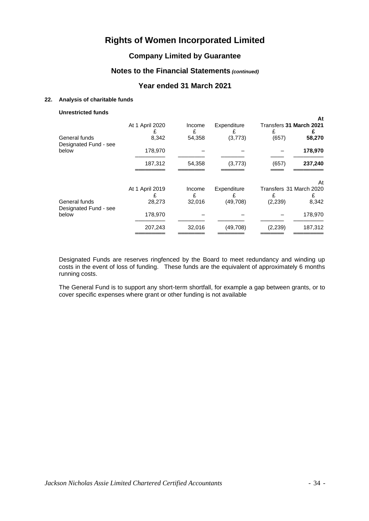# **Company Limited by Guarantee**

### **Notes to the Financial Statements** *(continued)*

## **Year ended 31 March 2021**

### **22. Analysis of charitable funds**

### **Unrestricted funds**

|                                        |                 |             |             |         | At                           |
|----------------------------------------|-----------------|-------------|-------------|---------|------------------------------|
|                                        | At 1 April 2020 | Income<br>£ | Expenditure | £       | Transfers 31 March 2021      |
| General funds<br>Designated Fund - see | 8,342           | 54,358      | (3,773)     | (657)   | 58,270                       |
| below                                  | 178,970         |             |             |         | 178,970                      |
|                                        | 187,312         | 54,358      | (3,773)     | (657)   | 237,240                      |
|                                        |                 |             |             |         | At                           |
|                                        | At 1 April 2019 | Income<br>£ | Expenditure | £       | Transfers 31 March 2020<br>£ |
| General funds<br>Designated Fund - see | 28,273          | 32,016      | (49,708)    | (2,239) | 8,342                        |
| below                                  | 178,970         |             |             |         | 178,970                      |
|                                        | 207,243         | 32,016      | (49,708)    | (2,239) | 187,312                      |

Designated Funds are reserves ringfenced by the Board to meet redundancy and winding up costs in the event of loss of funding. These funds are the equivalent of approximately 6 months running costs.

The General Fund is to support any short-term shortfall, for example a gap between grants, or to cover specific expenses where grant or other funding is not available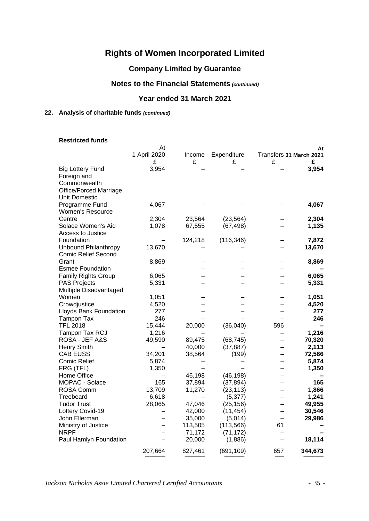# **Company Limited by Guarantee**

## **Notes to the Financial Statements** *(continued)*

## **Year ended 31 March 2021**

### **22. Analysis of charitable funds** *(continued)*

| <b>Restricted funds</b>                   |                   |             |                  |                          |                              |
|-------------------------------------------|-------------------|-------------|------------------|--------------------------|------------------------------|
|                                           | At                |             |                  |                          | At                           |
|                                           | 1 April 2020<br>£ | Income<br>£ | Expenditure<br>£ | £                        | Transfers 31 March 2021<br>£ |
| <b>Big Lottery Fund</b>                   | 3,954             |             |                  |                          | 3,954                        |
| Foreign and                               |                   |             |                  |                          |                              |
| Commonwealth                              |                   |             |                  |                          |                              |
| Office/Forced Marriage                    |                   |             |                  |                          |                              |
| <b>Unit Domestic</b>                      |                   |             |                  |                          |                              |
| Programme Fund                            | 4,067             |             |                  |                          | 4,067                        |
| Women's Resource                          |                   |             |                  |                          |                              |
| Centre                                    | 2,304             | 23,564      | (23, 564)        |                          | 2,304                        |
| Solace Women's Aid                        | 1,078             | 67,555      | (67, 498)        |                          | 1,135                        |
| Access to Justice                         |                   |             |                  |                          | 7,872                        |
| Foundation<br><b>Unbound Philanthropy</b> | 13,670            | 124,218     | (116, 346)       |                          | 13,670                       |
| <b>Comic Relief Second</b>                |                   |             |                  |                          |                              |
| Grant                                     | 8,869             |             |                  |                          | 8,869                        |
| <b>Esmee Foundation</b>                   |                   |             |                  |                          |                              |
| <b>Family Rights Group</b>                | 6,065             |             |                  |                          | 6,065                        |
| <b>PAS Projects</b>                       | 5,331             |             |                  |                          | 5,331                        |
| Multiple Disadvantaged                    |                   |             |                  |                          |                              |
| Women                                     | 1,051             |             |                  |                          | 1,051                        |
| Crowdjustice                              | 4,520             |             |                  |                          | 4,520                        |
| Lloyds Bank Foundation                    | 277               |             |                  |                          | 277                          |
| Tampon Tax                                | 246               |             |                  |                          | 246                          |
| <b>TFL 2018</b>                           | 15,444            | 20,000      | (36,040)         | 596                      |                              |
| Tampon Tax RCJ                            | 1,216             |             |                  |                          | 1,216                        |
| ROSA - JEF A&S                            | 49,590            | 89,475      | (68, 745)        | $\equiv$                 | 70,320                       |
| Henry Smith                               |                   | 40,000      | (37, 887)        | ▃                        | 2,113                        |
| CAB EUSS                                  | 34,201            | 38,564      | (199)            |                          | 72,566                       |
| <b>Comic Relief</b>                       | 5,874             |             |                  |                          | 5,874                        |
| FRG (TFL)<br>Home Office                  | 1,350             | 46,198      | (46, 198)        |                          | 1,350                        |
| MOPAC - Solace                            | 165               | 37,894      | (37, 894)        |                          | 165                          |
| ROSA Comm                                 | 13,709            | 11,270      | (23, 113)        | —                        | 1,866                        |
| Treebeard                                 | 6,618             |             | (5, 377)         |                          | 1,241                        |
| <b>Tudor Trust</b>                        | 28,065            | 47,046      | (25, 156)        |                          | 49,955                       |
| Lottery Covid-19                          |                   | 42,000      | (11, 454)        | -                        | 30,546                       |
| John Ellerman                             |                   | 35,000      | (5,014)          | $\overline{\phantom{0}}$ | 29,986                       |
| Ministry of Justice                       |                   | 113,505     | (113, 566)       | 61                       |                              |
| <b>NRPF</b>                               |                   | 71,172      | (71, 172)        |                          |                              |
| Paul Hamlyn Foundation                    |                   | 20,000      | (1,886)          |                          | 18,114                       |
|                                           | 207,664           | 827,461     | (691, 109)       | 657                      | 344,673                      |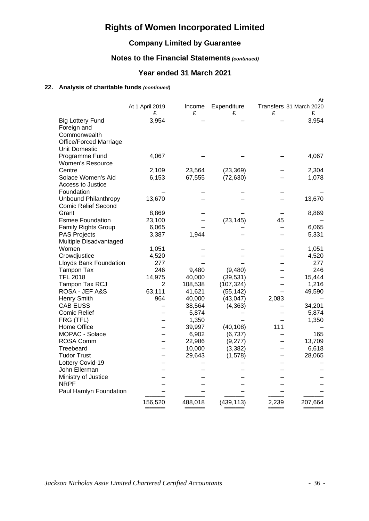# **Company Limited by Guarantee**

# **Notes to the Financial Statements** *(continued)*

# **Year ended 31 March 2021**

### **22. Analysis of charitable funds** *(continued)*

| Expenditure<br>At 1 April 2019<br>Income<br>£<br>£<br>£<br>£<br>3,954<br><b>Big Lottery Fund</b><br>Foreign and<br>Commonwealth<br>Office/Forced Marriage<br>Unit Domestic<br>Programme Fund<br>4,067<br><b>Women's Resource</b><br>Centre<br>2,109<br>23,564<br>(23, 369)<br>Solace Women's Aid<br>6,153<br>67,555<br>(72, 630)<br>Access to Justice<br>Foundation<br><b>Unbound Philanthropy</b><br>13,670<br><b>Comic Relief Second</b><br>8,869<br>Grant<br><b>Esmee Foundation</b><br>23,100<br>(23, 145)<br>45<br><b>Family Rights Group</b><br>6,065<br>1,944<br><b>PAS Projects</b><br>3,387<br>Multiple Disadvantaged<br>Women<br>1,051<br>Crowdjustice<br>4,520<br>Lloyds Bank Foundation<br>277 | At<br>Transfers 31 March 2020 |
|------------------------------------------------------------------------------------------------------------------------------------------------------------------------------------------------------------------------------------------------------------------------------------------------------------------------------------------------------------------------------------------------------------------------------------------------------------------------------------------------------------------------------------------------------------------------------------------------------------------------------------------------------------------------------------------------------------|-------------------------------|
|                                                                                                                                                                                                                                                                                                                                                                                                                                                                                                                                                                                                                                                                                                            | £                             |
|                                                                                                                                                                                                                                                                                                                                                                                                                                                                                                                                                                                                                                                                                                            | 3,954                         |
|                                                                                                                                                                                                                                                                                                                                                                                                                                                                                                                                                                                                                                                                                                            |                               |
|                                                                                                                                                                                                                                                                                                                                                                                                                                                                                                                                                                                                                                                                                                            |                               |
|                                                                                                                                                                                                                                                                                                                                                                                                                                                                                                                                                                                                                                                                                                            |                               |
|                                                                                                                                                                                                                                                                                                                                                                                                                                                                                                                                                                                                                                                                                                            |                               |
|                                                                                                                                                                                                                                                                                                                                                                                                                                                                                                                                                                                                                                                                                                            | 4,067                         |
|                                                                                                                                                                                                                                                                                                                                                                                                                                                                                                                                                                                                                                                                                                            |                               |
|                                                                                                                                                                                                                                                                                                                                                                                                                                                                                                                                                                                                                                                                                                            | 2,304                         |
|                                                                                                                                                                                                                                                                                                                                                                                                                                                                                                                                                                                                                                                                                                            | 1,078                         |
|                                                                                                                                                                                                                                                                                                                                                                                                                                                                                                                                                                                                                                                                                                            |                               |
|                                                                                                                                                                                                                                                                                                                                                                                                                                                                                                                                                                                                                                                                                                            |                               |
|                                                                                                                                                                                                                                                                                                                                                                                                                                                                                                                                                                                                                                                                                                            | 13,670                        |
|                                                                                                                                                                                                                                                                                                                                                                                                                                                                                                                                                                                                                                                                                                            |                               |
|                                                                                                                                                                                                                                                                                                                                                                                                                                                                                                                                                                                                                                                                                                            | 8,869                         |
|                                                                                                                                                                                                                                                                                                                                                                                                                                                                                                                                                                                                                                                                                                            |                               |
|                                                                                                                                                                                                                                                                                                                                                                                                                                                                                                                                                                                                                                                                                                            | 6,065                         |
|                                                                                                                                                                                                                                                                                                                                                                                                                                                                                                                                                                                                                                                                                                            | 5,331                         |
|                                                                                                                                                                                                                                                                                                                                                                                                                                                                                                                                                                                                                                                                                                            |                               |
|                                                                                                                                                                                                                                                                                                                                                                                                                                                                                                                                                                                                                                                                                                            | 1,051                         |
|                                                                                                                                                                                                                                                                                                                                                                                                                                                                                                                                                                                                                                                                                                            | 4,520                         |
|                                                                                                                                                                                                                                                                                                                                                                                                                                                                                                                                                                                                                                                                                                            | 277                           |
| <b>Tampon Tax</b><br>246<br>9,480<br>(9,480)                                                                                                                                                                                                                                                                                                                                                                                                                                                                                                                                                                                                                                                               | 246                           |
| <b>TFL 2018</b><br>14,975<br>40,000<br>(39, 531)                                                                                                                                                                                                                                                                                                                                                                                                                                                                                                                                                                                                                                                           | 15,444                        |
| $\overline{2}$<br>108,538<br>(107, 324)<br>Tampon Tax RCJ                                                                                                                                                                                                                                                                                                                                                                                                                                                                                                                                                                                                                                                  | 1,216                         |
| ROSA - JEF A&S<br>63,111<br>41,621<br>(55, 142)                                                                                                                                                                                                                                                                                                                                                                                                                                                                                                                                                                                                                                                            | 49,590                        |
| 964<br>(43, 047)<br>2,083<br><b>Henry Smith</b><br>40,000                                                                                                                                                                                                                                                                                                                                                                                                                                                                                                                                                                                                                                                  |                               |
| CAB EUSS<br>38,564<br>(4, 363)                                                                                                                                                                                                                                                                                                                                                                                                                                                                                                                                                                                                                                                                             | 34,201                        |
| <b>Comic Relief</b><br>5,874                                                                                                                                                                                                                                                                                                                                                                                                                                                                                                                                                                                                                                                                               | 5,874                         |
| FRG (TFL)<br>1,350                                                                                                                                                                                                                                                                                                                                                                                                                                                                                                                                                                                                                                                                                         | 1,350                         |
| Home Office<br>111<br>39,997<br>(40, 108)                                                                                                                                                                                                                                                                                                                                                                                                                                                                                                                                                                                                                                                                  |                               |
| MOPAC - Solace<br>6,902<br>(6,737)                                                                                                                                                                                                                                                                                                                                                                                                                                                                                                                                                                                                                                                                         | 165                           |
| <b>ROSA Comm</b><br>22,986<br>(9,277)                                                                                                                                                                                                                                                                                                                                                                                                                                                                                                                                                                                                                                                                      | 13,709                        |
| Treebeard<br>10,000<br>(3, 382)                                                                                                                                                                                                                                                                                                                                                                                                                                                                                                                                                                                                                                                                            | 6,618                         |
| <b>Tudor Trust</b><br>29,643<br>(1,578)                                                                                                                                                                                                                                                                                                                                                                                                                                                                                                                                                                                                                                                                    | 28,065                        |
| Lottery Covid-19                                                                                                                                                                                                                                                                                                                                                                                                                                                                                                                                                                                                                                                                                           |                               |
| John Ellerman                                                                                                                                                                                                                                                                                                                                                                                                                                                                                                                                                                                                                                                                                              |                               |
| Ministry of Justice                                                                                                                                                                                                                                                                                                                                                                                                                                                                                                                                                                                                                                                                                        |                               |
| <b>NRPF</b>                                                                                                                                                                                                                                                                                                                                                                                                                                                                                                                                                                                                                                                                                                |                               |
| Paul Hamlyn Foundation                                                                                                                                                                                                                                                                                                                                                                                                                                                                                                                                                                                                                                                                                     |                               |
| 156,520<br>488,018<br>(439, 113)<br>2,239                                                                                                                                                                                                                                                                                                                                                                                                                                                                                                                                                                                                                                                                  | 207,664                       |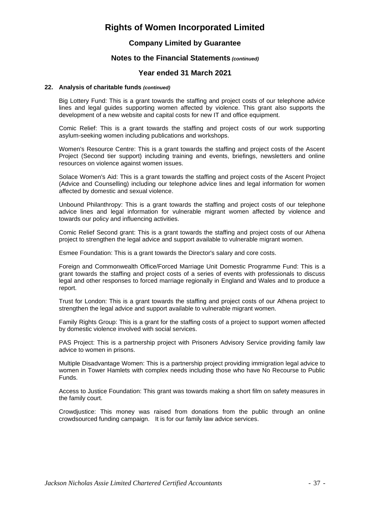## **Company Limited by Guarantee**

### **Notes to the Financial Statements** *(continued)*

### **Year ended 31 March 2021**

### **22. Analysis of charitable funds** *(continued)*

Big Lottery Fund: This is a grant towards the staffing and project costs of our telephone advice lines and legal guides supporting women affected by violence. This grant also supports the development of a new website and capital costs for new IT and office equipment.

Comic Relief: This is a grant towards the staffing and project costs of our work supporting asylum-seeking women including publications and workshops.

Women's Resource Centre: This is a grant towards the staffing and project costs of the Ascent Project (Second tier support) including training and events, briefings, newsletters and online resources on violence against women issues.

Solace Women's Aid: This is a grant towards the staffing and project costs of the Ascent Project (Advice and Counselling) including our telephone advice lines and legal information for women affected by domestic and sexual violence.

Unbound Philanthropy: This is a grant towards the staffing and project costs of our telephone advice lines and legal information for vulnerable migrant women affected by violence and towards our policy and influencing activities.

Comic Relief Second grant: This is a grant towards the staffing and project costs of our Athena project to strengthen the legal advice and support available to vulnerable migrant women.

Esmee Foundation: This is a grant towards the Director's salary and core costs.

Foreign and Commonwealth Office/Forced Marriage Unit Domestic Programme Fund: This is a grant towards the staffing and project costs of a series of events with professionals to discuss legal and other responses to forced marriage regionally in England and Wales and to produce a report.

Trust for London: This is a grant towards the staffing and project costs of our Athena project to strengthen the legal advice and support available to vulnerable migrant women.

Family Rights Group: This is a grant for the staffing costs of a project to support women affected by domestic violence involved with social services.

PAS Project: This is a partnership project with Prisoners Advisory Service providing family law advice to women in prisons.

Multiple Disadvantage Women: This is a partnership project providing immigration legal advice to women in Tower Hamlets with complex needs including those who have No Recourse to Public Funds.

Access to Justice Foundation: This grant was towards making a short film on safety measures in the family court.

Crowdjustice: This money was raised from donations from the public through an online crowdsourced funding campaign. It is for our family law advice services.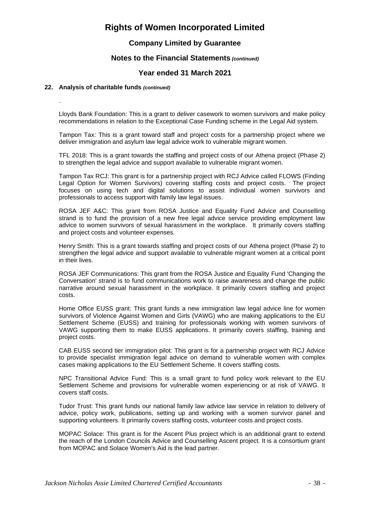# **Company Limited by Guarantee**

### **Notes to the Financial Statements** *(continued)*

### **Year ended 31 March 2021**

### **22. Analysis of charitable funds** *(continued)*

.

Lloyds Bank Foundation: This is a grant to deliver casework to women survivors and make policy recommendations in relation to the Exceptional Case Funding scheme in the Legal Aid system.

Tampon Tax: This is a grant toward staff and project costs for a partnership project where we deliver immigration and asylum law legal advice work to vulnerable migrant women.

TFL 2018: This is a grant towards the staffing and project costs of our Athena project (Phase 2) to strengthen the legal advice and support available to vulnerable migrant women.

Tampon Tax RCJ: This grant is for a partnership project with RCJ Advice called FLOWS (Finding Legal Option for Women Survivors) covering staffing costs and project costs. The project focuses on using tech and digital solutions to assist individual women survivors and professionals to access support with family law legal issues.

ROSA JEF A&C: This grant from ROSA Justice and Equality Fund Advice and Counselling strand is to fund the provision of a new free legal advice service providing employment law advice to women survivors of sexual harassment in the workplace. It primarily covers staffing and project costs and volunteer expenses.

Henry Smith: This is a grant towards staffing and project costs of our Athena project (Phase 2) to strengthen the legal advice and support available to vulnerable migrant women at a critical point in their lives.

ROSA JEF Communications: This grant from the ROSA Justice and Equality Fund 'Changing the Conversation' strand is to fund communications work to raise awareness and change the public narrative around sexual harassment in the workplace. It primarily covers staffing and project costs.

Home Office EUSS grant: This grant funds a new immigration law legal advice line for women survivors of Violence Against Women and Girls (VAWG) who are making applications to the EU Settlement Scheme (EUSS) and training for professionals working with women survivors of VAWG supporting them to make EUSS applications. It primarily covers staffing, training and project costs.

CAB EUSS second tier immigration pilot: This grant is for a partnership project with RCJ Advice to provide specialist immigration legal advice on demand to vulnerable women with complex cases making applications to the EU Settlement Scheme. It covers staffing costs.

NPC Transitional Advice Fund: This is a small grant to fund policy work relevant to the EU Settlement Scheme and provisions for vulnerable women experiencing or at risk of VAWG. It covers staff costs.

Tudor Trust: This grant funds our national family law advice law service in relation to delivery of advice, policy work, publications, setting up and working with a women survivor panel and supporting volunteers. It primarily covers staffing costs, volunteer costs and project costs.

MOPAC Solace: This grant is for the Ascent Plus project which is an additional grant to extend the reach of the London Councils Advice and Counselling Ascent project. It is a consortium grant from MOPAC and Solace Women's Aid is the lead partner.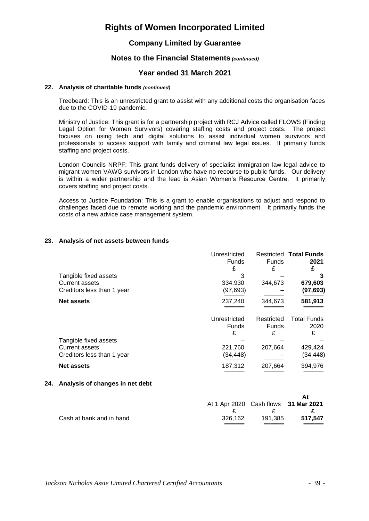# **Company Limited by Guarantee**

## **Notes to the Financial Statements** *(continued)*

## **Year ended 31 March 2021**

### **22. Analysis of charitable funds** *(continued)*

Treebeard: This is an unrestricted grant to assist with any additional costs the organisation faces due to the COVID-19 pandemic.

Ministry of Justice: This grant is for a partnership project with RCJ Advice called FLOWS (Finding Legal Option for Women Survivors) covering staffing costs and project costs. The project focuses on using tech and digital solutions to assist individual women survivors and professionals to access support with family and criminal law legal issues. It primarily funds staffing and project costs.

London Councils NRPF: This grant funds delivery of specialist immigration law legal advice to migrant women VAWG survivors in London who have no recourse to public funds. Our delivery is within a wider partnership and the lead is Asian Women's Resource Centre. It primarily covers staffing and project costs.

Access to Justice Foundation: This is a grant to enable organisations to adjust and respond to challenges faced due to remote working and the pandemic environment. It primarily funds the costs of a new advice case management system.

### **23. Analysis of net assets between funds**

|                            | Unrestricted |              | <b>Restricted Total Funds</b> |
|----------------------------|--------------|--------------|-------------------------------|
|                            | <b>Funds</b> | <b>Funds</b> | 2021                          |
|                            | £            | £            | £                             |
| Tangible fixed assets      |              |              |                               |
| <b>Current assets</b>      | 334,930      | 344,673      | 679,603                       |
| Creditors less than 1 year | (97, 693)    |              | (97, 693)                     |
| <b>Net assets</b>          | 237,240      | 344,673      | 581,913                       |
|                            | Unrestricted | Restricted   | <b>Total Funds</b>            |
|                            | <b>Funds</b> | <b>Funds</b> | 2020                          |
|                            | £            | £            | £                             |
| Tangible fixed assets      |              |              |                               |
| <b>Current assets</b>      | 221,760      | 207,664      | 429,424                       |
| Creditors less than 1 year | (34,448)     |              | (34, 448)                     |
| <b>Net assets</b>          | 187,312      | 207,664      | 394,976                       |
|                            |              |              |                               |

### **24. Analysis of changes in net debt**

|                          |                                      |              | At           |
|--------------------------|--------------------------------------|--------------|--------------|
|                          | At 1 Apr 2020 Cash flows 31 Mar 2021 |              |              |
|                          |                                      | $\mathbf{F}$ | $\mathbf{F}$ |
| Cash at bank and in hand | 326.162                              | 191.385      | 517.547      |
|                          |                                      |              |              |